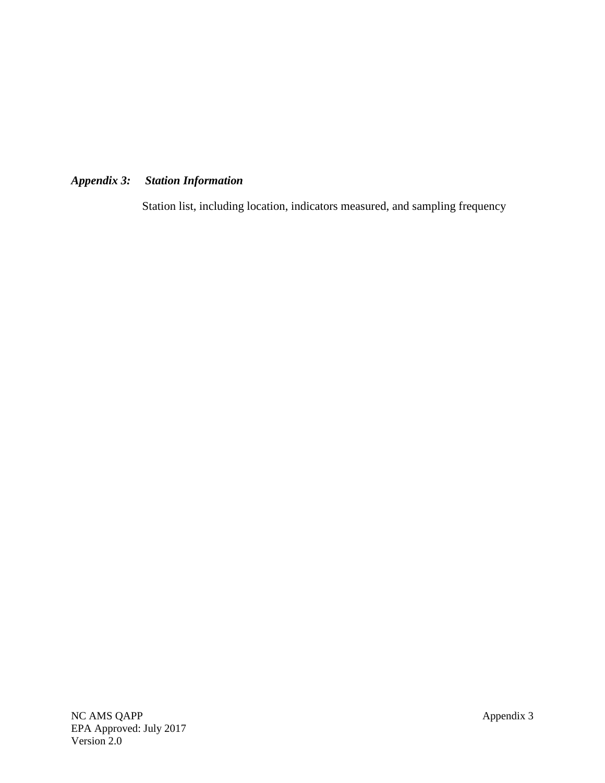# *Appendix 3: Station Information*

Station list, including location, indicators measured, and sampling frequency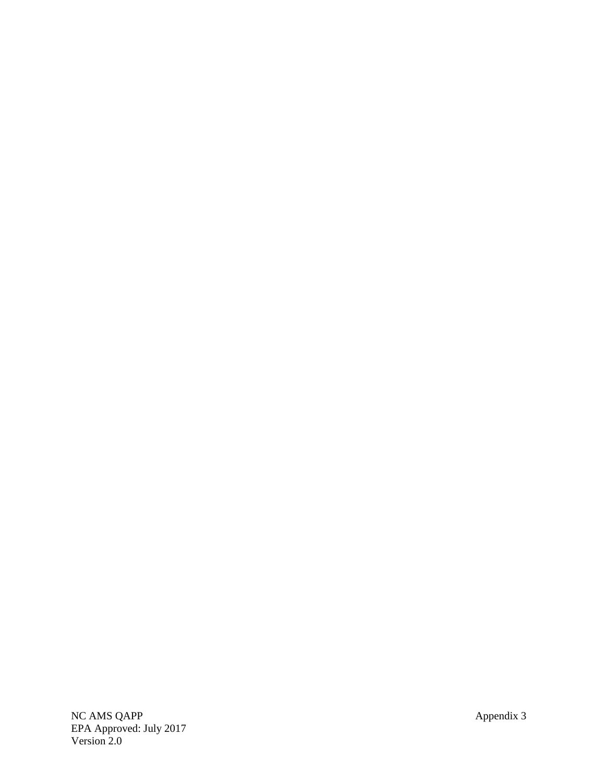NC AMS QAPP Appendix EPA Approved: July 2017 Version 2.0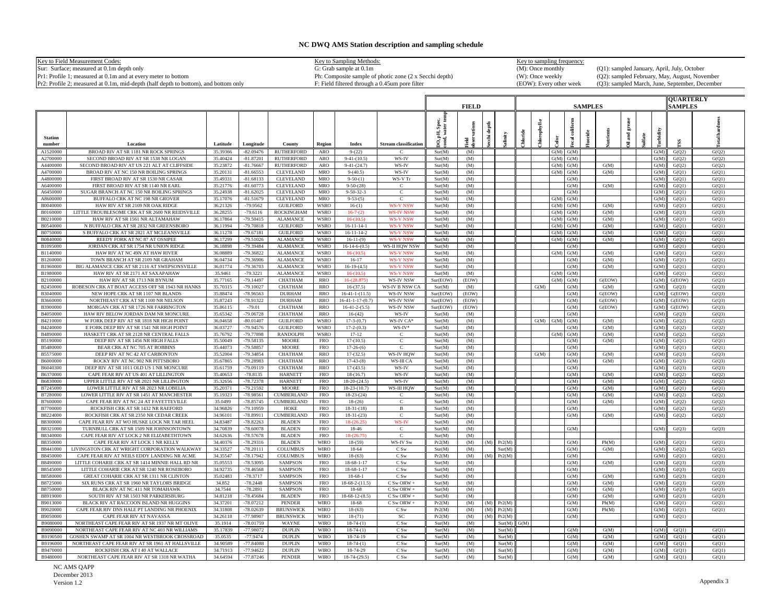|                          | Key to Field Measurement Codes:<br>Sur: Surface; measured at 0.1m depth only<br>Pr1: Profile 1; measured at 0.1m and at every meter to bottom<br>Pr2: Profile 2; measured at 0.1m, mid-depth (half depth to bottom), and bottom only |                      | Key to Sampling Methods:<br>G: Grab sample at 0.1m<br>Ph: Composite sample of photic zone (2 x Secchi depth)<br>F: Field filtered through a 0.45um pore filter |                                       |                            |                                   |                                   |                             |               |             | Key to sampling frequency:<br>(M): Once monthly<br>(W): Once weekly<br>(EOW): Every other week |         |                     |               |                       |                |               |               | (Q1): sampled January, April, July, October<br>(Q2): sampled February, May, August, November<br>(Q3): sampled March, June, September, December |              |                                    |                |
|--------------------------|--------------------------------------------------------------------------------------------------------------------------------------------------------------------------------------------------------------------------------------|----------------------|----------------------------------------------------------------------------------------------------------------------------------------------------------------|---------------------------------------|----------------------------|-----------------------------------|-----------------------------------|-----------------------------|---------------|-------------|------------------------------------------------------------------------------------------------|---------|---------------------|---------------|-----------------------|----------------|---------------|---------------|------------------------------------------------------------------------------------------------------------------------------------------------|--------------|------------------------------------|----------------|
|                          |                                                                                                                                                                                                                                      |                      |                                                                                                                                                                |                                       |                            |                                   |                                   |                             | <b>FIELD</b>  |             |                                                                                                |         |                     |               |                       | <b>SAMPLES</b> |               |               |                                                                                                                                                |              | <b>QUARTERLY</b><br><b>SAMPLES</b> |                |
| <b>Station</b><br>number | Location                                                                                                                                                                                                                             | Latitude             | Longitude                                                                                                                                                      | County                                | Region                     | Index                             | <b>Stream classification</b>      | S <sub>pec</sub><br>阻<br>Ō, | ield<br>bserv | ecchi depth | alinity                                                                                        | hloride | hlorophyll <i>a</i> | olor          | cal coliform          | uoride         |               | il and grease | ulfate                                                                                                                                         | urbidity     | S.                                 | ē              |
| A1520000                 | BROAD RIV AT SR 1181 NR ROCK SPRINGS                                                                                                                                                                                                 | 35.39366             | $-82.09476$                                                                                                                                                    | <b>RUTHERFORD</b>                     | ARO                        | $9-(22)$                          |                                   | Sur(M)                      | (M)           |             |                                                                                                |         |                     | $G(M)$ $G(M)$ |                       |                |               |               |                                                                                                                                                | G(M)         | G(Q2)                              | G(Q2)          |
| A2700000                 | SECOND BROAD RIV AT SR 1538 NR LOGAN                                                                                                                                                                                                 | 35.40424             | $-81.87201$                                                                                                                                                    | <b>RUTHERFORD</b>                     | ARO                        | $9-41-(10.5)$                     | WS-IV                             | Sur(M)                      | (M)           |             |                                                                                                |         |                     | $G(M)$ $G(M)$ |                       |                |               |               |                                                                                                                                                | G(M)         | G(Q2)                              | G(Q2)          |
| A4400000<br>A4700000     | SECOND BROAD RIV AT US 221 ALT AT CLIFFSID<br>BROAD RIV AT NC 150 NR BOILING SPRINGS                                                                                                                                                 | 35.23872<br>35.20131 | $-81.76667$<br>$-81.66553$                                                                                                                                     | <b>RUTHERFORD</b><br><b>CLEVELAND</b> | ARO<br><b>MRO</b>          | $9-41-(24.7)$<br>$9-(40.5)$       | WS-IV<br>WS-IV                    | Sur(M)<br>Sur(M)            | (M)<br>(M)    |             |                                                                                                |         |                     | G(M)          | $G(M)$ $G(M)$<br>G(M) |                | G(M)<br>G(M)  |               |                                                                                                                                                | G(M)<br>G(M) | G(Q2)<br>G(O1)                     | G(Q2)<br>G(Q1) |
| A4800000                 | FIRST BROAD RIV AT SR 1530 NR CASAR                                                                                                                                                                                                  | 35.49331             | $-81.68133$                                                                                                                                                    | <b>CLEVELAND</b>                      | <b>MRO</b>                 | $9-50-(1)$                        | WS-V Tr                           | Sur(M)                      | (M)           |             |                                                                                                |         |                     |               | G(M)                  |                |               |               |                                                                                                                                                | G(M)         | G(O1)                              | G(Q1)          |
| A6400000                 | FIRST BROAD RIV AT SR 1140 NR EARL                                                                                                                                                                                                   | 35.21776             | $-81.60773$                                                                                                                                                    | <b>CLEVELAND</b>                      | <b>MRO</b>                 | $9-50-(28)$                       | C                                 | Sur(M)                      | (M)           |             |                                                                                                |         |                     |               | G(M)                  |                | G(M)          |               |                                                                                                                                                | G(M)         | G(O1)                              | G(O1)          |
| A6450000                 | SUGAR BRANCH AT NC 150 NR BOILING SPRINGS                                                                                                                                                                                            | 35.24938             | $-81.62025$                                                                                                                                                    | <b>CLEVELAND</b>                      | <b>MRO</b>                 | $9 - 50 - 32 - 3$                 | $\mathcal{C}$                     | Sur(M)                      | (M)           |             |                                                                                                |         |                     |               | G(M)                  |                |               |               |                                                                                                                                                | G(M)         | G(Q1)                              | G(Q1)          |
| A8600000<br>B0040000     | BUFFALO CRK AT NC 198 NR GROVER<br>HAW RIV AT SR 2109 NR OAK RIDGE                                                                                                                                                                   | 35.17076<br>36.21326 | $-81.51679$<br>-79.9562                                                                                                                                        | <b>CLEVELAND</b><br><b>GUILFORD</b>   | <b>MRO</b><br><b>WSRO</b>  | $9-53-(5)$<br>$16-(1)$            | $\mathbf C$                       | Sur(M)<br>Sur(M)            | (M)<br>(M)    |             |                                                                                                |         |                     | G(M)<br>G(M)  | G(M)<br>G(M)          |                | G(M)          |               |                                                                                                                                                | G(M)<br>G(M) | G(O1)<br>G(O1)                     | G(Q1)<br>G(Q1) |
| B0160000                 | LITTLE TROUBLESOME CRK AT SR 2600 NR REIDSVILLE                                                                                                                                                                                      | 36.28255             | $-79.6116$                                                                                                                                                     | <b>ROCKINGHAM</b>                     | <b>WSRO</b>                | $16 - 7 - (2)$                    | <b>WS-IV NSV</b>                  | Sur(M)                      | (M)           |             |                                                                                                |         |                     | G(M)          | G(M)                  |                | G(M)          |               |                                                                                                                                                | G(M)         | G(Q3)                              | G(O3)          |
| B0210000                 | HAW RIV AT SR 1561 NR ALTAMAHAW                                                                                                                                                                                                      | 36.17864             | 79.50415                                                                                                                                                       | <b>ALAMANCE</b>                       | <b>WSRO</b>                | $16-(10.5)$                       | <b>WS-V NSV</b>                   | Sur(M)                      | (M)           |             |                                                                                                |         |                     | G(M)          | G(M)                  |                | G(M)          |               |                                                                                                                                                | G(M)         | G(Q1)                              | G(Q1)          |
| B0540000                 | N BUFFALO CRK AT SR 2832 NR GREENSBORC                                                                                                                                                                                               | 36.11994             | -79.70818                                                                                                                                                      | <b>GUILFORD</b>                       | <b>WSRO</b>                | $16 - 11 - 14 - 1$                |                                   | Sur(M)                      | (M)           |             |                                                                                                |         |                     | G(M)          | G(M)                  |                | G(M)          |               |                                                                                                                                                | G(M)         | G(Q1)                              | G(Q1)          |
| B0750000<br>B0840000     | S BUFFALO CRK AT SR 2821 AT MCLEANSVILLE<br>REEDY FORK AT NC 87 AT OSSIPEE                                                                                                                                                           | 36.11278<br>36.17299 | -79.67181<br>-79.51026                                                                                                                                         | <b>GUILFORD</b><br><b>ALAMANCE</b>    | WSRC<br><b>WSRO</b>        | $16 - 11 - 14 - 2$<br>$16-11-(9)$ |                                   | Sur(M)<br>Sur(M)            | (M)<br>(M)    |             |                                                                                                |         |                     | G(M)<br>G(M)  | G(M)<br>G(M)          |                | G(M)<br>G(M)  |               |                                                                                                                                                | G(M)<br>G(M) | G(O1)<br>G(O1)                     | G(Q1)<br>G(Q1) |
| B1095000                 | JORDAN CRK AT SR 1754 NR UNION RIDGE                                                                                                                                                                                                 | 36.18898             | $-79.39484$                                                                                                                                                    | <b>ALAMANCE</b>                       | <b>WSRO</b>                | $16-14-6-(0.5)$                   | WS-II HOW NSW                     | Sur(M)                      | (M)           |             |                                                                                                |         |                     |               | G(M)                  |                |               |               |                                                                                                                                                | G(M)         | G(O1)                              | G(O1)          |
| B1140000                 | HAW RIV AT NC 49N AT HAW RIVER                                                                                                                                                                                                       | 36.08889             | $-79.36822$                                                                                                                                                    | <b>ALAMANCE</b>                       | <b>WSRC</b>                | $16-10.5$                         | <b>WS-V NSW</b>                   | Sur(M)                      | (M)           |             |                                                                                                |         |                     | G(M)          | G(M)                  |                | G(M)          |               |                                                                                                                                                | G(M)         | G(Q1)                              | G(Q1)          |
| B1260000                 | TOWN BRANCH AT SR 2109 NR GRAHAM                                                                                                                                                                                                     | 36.04734             | $-79.36906$                                                                                                                                                    | <b>ALAMANCE</b>                       | <b>WSRO</b>                | $16-17$                           | WS-V N                            | Sur(M)                      | (M)           |             |                                                                                                |         |                     |               | G(M)                  |                | G(M)          |               |                                                                                                                                                | G(M)         | G(Q1)                              | G(Q1)          |
| B1960000                 | BIG ALAMANCE CRK AT SR 2116 AT SWEPSONSVILLE                                                                                                                                                                                         | 36.01774             | 79.36703                                                                                                                                                       | <b>ALAMANCE</b>                       | <b>WSRO</b>                | $16-19-(4.5)$                     |                                   | Sur(M)                      | (M)           |             |                                                                                                |         |                     |               | G(M)                  |                | G(M)          |               |                                                                                                                                                | G(M)         | G(O1)                              | G(Q1)          |
| B1980000<br>B2100000     | HAW RIV AT SR 2171 AT SAXAPAHAW<br>HAW RIV AT SR 1713 NR BYNUM                                                                                                                                                                       | 35.9461<br>35,77165  | -79.3221<br>79.14497                                                                                                                                           | <b>ALAMANCE</b><br><b>CHATHAM</b>     | <b>WSRC</b><br><b>RRO</b>  | $16-(10.5)$<br>16-028.875         | WS-IV NSW                         | Sur(M)<br>Sur(EOW)          | (M)<br>(EOW)  |             |                                                                                                |         |                     | G(M)<br>G(M)  | G(M)<br>G(M)          |                | G(EOW)        |               |                                                                                                                                                | G(M)<br>G(M) | G(O1)<br>G(EOW)                    | G(O1)<br>G(O3) |
| B2450000                 | ROBESON CRK AT BOAT ACCESS OFF SR 1943 NR HANKS                                                                                                                                                                                      | 35.70315             | -79.10027                                                                                                                                                      | <b>CHATHAM</b>                        | <b>RRO</b>                 | $16-(37.5)$                       | WS-IV B NSW CA                    | Sur(M)                      | (M)           |             |                                                                                                |         | G(M)                |               | G(M)                  |                | G(M)          |               |                                                                                                                                                | G(M)         | G(03)                              | G(Q3)          |
| B3040000                 | NEW HOPE CRK AT SR 1107 NR BLANDS                                                                                                                                                                                                    | 35.88474             | 78.96563                                                                                                                                                       | <b>DURHAM</b>                         | <b>RRO</b>                 | $16-41-1-(11.5)$                  | <b>WS-IV NSW</b>                  | Sur(EOW)                    | (EOW)         |             |                                                                                                |         |                     |               | G(M)                  |                | G(EOW)        |               |                                                                                                                                                | G(M)         | G(EOW)                             | G(Q3)          |
| B3660000                 | NORTHEAST CRK AT SR 1100 NR NELSON                                                                                                                                                                                                   | 35.87243             | 78.91322                                                                                                                                                       | <b>DURHAM</b>                         | <b>RRO</b>                 | $16 - 41 - 1 - 17 - (0.7)$        | WS-IV NSW                         | Sur(EOW)                    | (EOW)         |             |                                                                                                |         |                     |               | G(M)                  |                | G(EOW)        |               |                                                                                                                                                | G(M)         | G(EOW)                             | G(Q3)          |
| B3900000<br>B4050000     | MORGAN CRK AT SR 1726 NR FARRINGTON<br>HAW RIV BELOW JORDAN DAM NR MONCURE                                                                                                                                                           | 35.86115<br>35.65342 | $-79.01$<br>79.06728                                                                                                                                           | <b>CHATHAM</b><br><b>CHATHAM</b>      | <b>RRO</b><br><b>RRO</b>   | $16-41-2-(5.5)$<br>$16-(42)$      | WS-IV NSW<br>WS-IV                | Sur(EOW)<br>Sur(M)          | (EOW)<br>(M)  |             |                                                                                                |         |                     |               | G(M)<br>G(M)          |                | G(EOW)        |               |                                                                                                                                                | G(M)<br>G(M) | G(EOW)<br>G(Q3)                    | G(O3)<br>G(Q3) |
| B4210000                 | W FORK DEEP RIV AT SR 1818 NR HIGH POINT                                                                                                                                                                                             | 36.04658             | $-80.01407$                                                                                                                                                    | <b>GUILFORD</b>                       | <b>WSRO</b>                | $17-3-(0.7)$                      | WS-IV CA*                         | Sur(M)                      | (M)           |             |                                                                                                |         | G(M)                | G(N)          | G(M)                  |                | G(M)          |               |                                                                                                                                                | G(M)         | G(Q2)                              | G(Q2)          |
| B4240000                 | E FORK DEEP RIV AT SR 1541 NR HIGH POINT                                                                                                                                                                                             | 36.03727             | 79.94576                                                                                                                                                       | <b>GUILFORD</b>                       | <b>WSRO</b>                | $17-2-(0.3)$                      | $WS$ -IV*                         | Sur(M)                      | (M)           |             |                                                                                                |         |                     |               | G(M)                  |                | G(M)          |               |                                                                                                                                                | G(M)         | G(O2)                              | G(Q2)          |
| B4890000                 | HASKETT CRK AT SR 2128 NR CENTRAL FALLS                                                                                                                                                                                              | 35.76792             | -79.77898                                                                                                                                                      | <b>RANDOLPH</b>                       | <b>WSRO</b>                | $17 - 12$                         | $\mathbb C$                       | Sur(M)                      | (M)           |             |                                                                                                |         |                     |               | G(M)                  |                | G(M)          |               |                                                                                                                                                | G(M)         | G(O2)                              | G(O2)          |
| B5190000                 | DEEP RIV AT SR 1456 NR HIGH FALLS                                                                                                                                                                                                    | 35.50049             | 79.58135                                                                                                                                                       | <b>MOORE</b>                          | <b>FRO</b>                 | $17-(10.5)$                       | $\mathbf C$                       | Sur(M)                      | (M)           |             |                                                                                                |         |                     |               | G(M)                  |                | G(M)          |               |                                                                                                                                                | G(M)         | G(O1)                              | G(O1)          |
| B5480000<br>B5575000     | BEAR CRK AT NC 705 AT ROBBINS<br>DEEP RIV AT NC 42 AT CARBONTON                                                                                                                                                                      | 35.44073<br>35.52004 | 79.58857<br>79.34854                                                                                                                                           | <b>MOORE</b><br><b>CHATHAM</b>        | <b>FRO</b><br><b>RRO</b>   | $17-26-(6)$<br>$17-(32.5)$        | $\mathcal{C}$<br><b>WS-IV HOW</b> | Sur(M)<br>Sur(M)            | (M)<br>(M)    |             |                                                                                                |         | G(M)                |               | G(M)<br>G(M)          |                | G(M)          |               |                                                                                                                                                | G(M)<br>G(M) | G(Q1)<br>G(Q3)                     | G(Q1)<br>G(Q3) |
| B6000000                 | ROCKY RIV AT NC 902 NR PITTSBORO                                                                                                                                                                                                     | 35.67865             | 79.28983                                                                                                                                                       | <b>CHATHAM</b>                        | <b>RRO</b>                 | $17-43-(8)$                       | WS-III CA                         | Sur(M)                      | (M)           |             |                                                                                                |         |                     |               | G(M)                  |                | G(M)          |               |                                                                                                                                                | G(M)         | G(Q3)                              | G(Q3)          |
| B6040300                 | DEEP RIV AT SR 1011 OLD US 1 NR MONCURE                                                                                                                                                                                              | 35.61759             | 79.09119                                                                                                                                                       | <b>CHATHAM</b>                        | <b>RRO</b>                 | $17-(43.5)$                       | WS-IV                             | Sur(M)                      | (M)           |             |                                                                                                |         |                     |               | G(M)                  |                |               |               |                                                                                                                                                | G(M)         | G(Q3)                              | G(O3)          |
| B6370000                 | CAPE FEAR RIV AT US 401 AT LILLINGTON                                                                                                                                                                                                | 35,40653             | -78.8135                                                                                                                                                       | <b>HARNETT</b>                        | <b>FRO</b>                 | $18-(16.7)$                       | WS-IV                             | Sur(M)                      | (M)           |             |                                                                                                |         |                     |               | G(M)                  |                | G(M)          |               |                                                                                                                                                | G(M)         | G(O2)                              | G(Q2)          |
| B6830000<br>B7245000     | UPPER LITTLE RIV AT SR 2021 NR LILLINGTON<br>LOWER LITTLE RIV AT SR 2023 NR LOBELIA                                                                                                                                                  | 35.32656<br>35.20371 | 78.72378<br>79.21592                                                                                                                                           | <b>HARNETT</b><br><b>MOORE</b>        | <b>FRO</b><br><b>FRO</b>   | $18-20-(24.5)$<br>$18-23-(10.7)$  | WS-IV<br>WS-III HOW               | Sur(M)<br>Sur(M)            | (M)<br>(M)    |             |                                                                                                |         |                     |               | G(M)<br>G(M)          |                | G(M)<br>G(M)  |               |                                                                                                                                                | G(M)<br>G(M) | G(Q2)<br>G(O1)                     | G(Q2)<br>G(O1) |
| B7280000                 | LOWER LITTLE RIV AT SR 1451 AT MANCHESTER                                                                                                                                                                                            | 35.19323             | 78.98561                                                                                                                                                       | <b>CUMBERLAND</b>                     | <b>FRO</b>                 | $18-23-(24)$                      | $\mathbb C$                       | Sur(M)                      | (M)           |             |                                                                                                |         |                     |               | G(M)                  |                | G(M)          |               |                                                                                                                                                | G(M)         | G(O2)                              | G(O2)          |
| B7600000                 | CAPE FEAR RIV AT NC 24 AT FAYETTEVILLE                                                                                                                                                                                               | 35.0499              | 78.85745                                                                                                                                                       | <b>CUMBERLAND</b>                     | <b>FRO</b>                 | $18-(26)$                         | $\mathsf C$                       | Sur(M)                      | (M)           |             |                                                                                                |         |                     |               | G(M)                  |                | G(M)          |               |                                                                                                                                                | G(M)         | G(O2)                              | G(Q2)          |
| B7700000                 | ROCKFISH CRK AT SR 1432 NR RAEFORD                                                                                                                                                                                                   | 34.96826             | 79.10959                                                                                                                                                       | HOKE                                  | <b>FRO</b>                 | $18-31-(18)$                      | $\, {\bf B}$                      | Sur(M)                      | (M)           |             |                                                                                                |         |                     |               | G(M)                  |                |               |               |                                                                                                                                                | G(M)         | G(Q2)                              | G(Q2)          |
| B8224000<br>B8300000     | ROCKFISH CRK AT SR 2350 NR CEDAR CREEK<br>CAPE FEAR RIV AT WO HUSKE LOCK NR TAR HEEL                                                                                                                                                 | 34.96101<br>34.83487 | -78.89911<br>78.82263                                                                                                                                          | <b>CUMBERLAND</b><br><b>BLADEN</b>    | <b>FRO</b><br><b>FRO</b>   | $18-31-(23)$                      | $\mathbf C$<br>WS-IV              | Sur(M)<br>Sur(M)            | (M)<br>(M)    |             |                                                                                                |         |                     |               | G(M)                  |                | G(M)          |               |                                                                                                                                                | G(M)         | G(Q2)                              | G(Q2)          |
| B8321000                 | TURNBULL CRK AT SR 1509 NR JOHNSONTOWN                                                                                                                                                                                               | 34.70839             | 78.60078                                                                                                                                                       | <b>BLADEN</b>                         | <b>FRO</b>                 | 18-(26.25)<br>18-46               | C                                 | Sur(M)                      | (M)           |             |                                                                                                |         |                     |               | G(M)                  |                |               |               |                                                                                                                                                | G(M)         | G(Q3)                              | G(Q3)          |
| B8340000                 | CAPE FEAR RIV AT LOCK 2 NR ELIZABETHTOWN                                                                                                                                                                                             | 34.62636             | 78.57678                                                                                                                                                       | <b>BLADEN</b>                         | <b>FRO</b>                 | $18-(26)$                         | $\mathcal{C}$                     | Sur(M)                      | (M)           |             |                                                                                                |         |                     |               |                       |                |               |               |                                                                                                                                                |              |                                    |                |
| B8350000                 | CAPE FEAR RIV AT LOCK 1 NR KELLY                                                                                                                                                                                                     | 34.40376             | -78.29316                                                                                                                                                      | <b>BLADEN</b>                         | <b>WIRO</b>                | $18-(59)$                         | WS-IV Sw                          | Pr2(M)                      | (M)           |             | Pr2(M)                                                                                         |         |                     |               | G(M)                  |                | Ph(M)         |               |                                                                                                                                                | G(M)         | G(Q1)                              | G(Q1)          |
| B8441000                 | LIVINGSTON CRK AT WRIGHT CORPORATION WALKWAY                                                                                                                                                                                         | 34.33527             | 78.20111                                                                                                                                                       | <b>COLUMBUS</b>                       | <b>WIRO</b>                | 18-64                             | C Sw                              | Sur(M)                      | (M)           |             | Sur(M)                                                                                         |         |                     |               | G(M)                  |                | G(M)          |               |                                                                                                                                                | G(M)         | G(Q2)                              | G(O2)          |
| B8450000<br>B8490000     | CAPE FEAR RIV AT NEILS EDDY LANDING NR ACME<br>LITTLE COHARIE CRK AT SR 1414 MINNIE HALL RD NR                                                                                                                                       | 34.35547<br>35.05553 | 78.17942<br>78.53095                                                                                                                                           | <b>COLUMBUS</b><br><b>SAMPSON</b>     | WIRO<br><b>FRO</b>         | $18-(63)$<br>$18-68-1-17$         | C Sw<br>C Sw                      | Pr2(M)<br>Sur(M)            | (M)<br>(M)    |             | Pr2(M)                                                                                         |         |                     |               | G(M)<br>G(M)          |                | G(M)          |               |                                                                                                                                                | G(M)<br>G(M) | G(Q1)<br>G(Q3)                     | G(O1)<br>G(O3) |
| B8545000                 | LITTLE COHARIE CRK AT SR 1240 NR ROSEBORO                                                                                                                                                                                            | 34.92735             | 78.46568                                                                                                                                                       | <b>SAMPSON</b>                        | <b>FRO</b>                 | $18-68-1-17$                      | $C$ Sw                            | Sur(M)                      | (M)           |             |                                                                                                |         |                     |               | G(M)                  |                |               |               |                                                                                                                                                | G(M)         | G(Q3)                              | G(Q3)          |
| B8580000                 | GREAT COHARIE CRK AT SR 1311 NR CLINTON                                                                                                                                                                                              | 35.02483             | -78.3717                                                                                                                                                       | <b>SAMPSON</b>                        | <b>FRO</b>                 | $18-68-1$                         | C Sw                              | Sur(M)                      | (M)           |             |                                                                                                |         |                     |               | G(M)                  |                | G(M)          |               |                                                                                                                                                | G(M)         | G(Q3)                              | G(O3)          |
| B8725000                 | SIX RUNS CRK AT SR 1960 NR TAYLORS BRIDGE                                                                                                                                                                                            | 34.852               | $-78.2448$                                                                                                                                                     | <b>SAMPSON</b>                        | <b>FRO</b>                 | $18-68-2-(11.5)$                  | C Sw ORW                          | Sur(M)                      | (M)           |             |                                                                                                |         |                     |               | G(M)                  |                | G(M)          |               |                                                                                                                                                | G(M)         | G(Q3)                              | G(O3)          |
| B8750000                 | BLACK RIV AT NC 411 NR TOMAHAWK                                                                                                                                                                                                      | 34.7544              | -78.2891                                                                                                                                                       | <b>SAMPSON</b>                        | <b>FRO</b>                 | 18-68                             | C Sw ORW                          | Sur(M)                      | (M)           |             |                                                                                                |         |                     |               | G(M)                  |                | G(M)          |               |                                                                                                                                                | G(M)         | G(Q3)                              | G(O3)          |
| B8919000<br>B9013000     | SOUTH RIV AT SR 1503 NR PARKERSBURG<br>BLACK RIV AT RACCOON ISLAND NR HUGGINS                                                                                                                                                        | 34.81218<br>34.37201 | 78.45684<br>-78.07212                                                                                                                                          | <b>BLADEN</b><br><b>PENDER</b>        | <b>FRO</b><br><b>WIRO</b>  | $18-68-12-(8.5)$<br>18-68         | C Sw ORW<br>C Sw ORW              | Sur(M)<br>Pr2(M)            | (M)<br>(M)    |             | Pr2(M)                                                                                         |         |                     |               | G(M)<br>G(M)          |                | G(M)<br>Ph(M) |               |                                                                                                                                                | G(M)<br>G(M) | G(O3)<br>G(Q1)                     | G(O3)<br>G(Q1) |
| B9020000                 | CAPE FEAR RIV DNS HALE PT LANDING NR PHOENIX                                                                                                                                                                                         | 34.31808             | 78.02639                                                                                                                                                       | <b>BRUNSWICK</b>                      | <b>WIRO</b>                | $18-(63)$                         | C Sw                              | Pr2(M)                      | (M)           |             | Pr2(M)                                                                                         |         |                     |               | G(M)                  |                | Ph(M)         |               |                                                                                                                                                | G(M)         | G(Q1)                              | G(Q1)          |
| B9050000                 | CAPE FEAR RIV AT NAVASSA                                                                                                                                                                                                             | 34.26118             | 77.98907                                                                                                                                                       | <b>BRUNSWICK</b>                      | <b>WIRO</b>                | $18-(71)$                         | SC                                | Pr2(M)                      | (M)           |             | Pr2(M)                                                                                         |         |                     |               | G(M)                  |                |               |               |                                                                                                                                                | G(M)         | G(Q1)                              |                |
| B9080000                 | NORTHEAST CAPE FEAR RIV AT SR 1937 NR MT OLIVE                                                                                                                                                                                       | 35.1914              | 78.01759                                                                                                                                                       | <b>WAYNE</b>                          | <b>WIRO</b>                | $18-74-(1)$                       | C Sw                              | Sur(M)                      | (M)           |             | Sur(M)                                                                                         | M       |                     |               |                       |                |               |               |                                                                                                                                                |              |                                    |                |
| B9090000<br>B9190500     | NORTHEAST CAPE FEAR RIV AT NC 403 NR WILLIAMS<br>GOSHEN SWAMP AT SR 1004 NR WESTBROOK CROSSROAD                                                                                                                                      | 35.17839<br>35.0535  | 77.98072<br>$-77.9474$                                                                                                                                         | <b>DUPLIN</b><br><b>DUPLIN</b>        | <b>WIRO</b><br><b>WIRO</b> | $18-74-(1)$<br>18-74-19           | $\mathrm{C}\:\mathrm{Sw}$<br>C Sw | Sur(M)<br>Sur(M)            | (M)<br>(M)    |             | Sur(M)<br>Sur(M)                                                                               |         |                     |               | G(M)<br>G(M)          |                | G(M)<br>G(M)  |               |                                                                                                                                                | G(M)<br>G(M) | G(Q1)<br>G(Q1)                     | G(Q1)<br>G(O1) |
| B9196000                 | NORTHEAST CAPE FEAR RIV AT SR 1961 AT HALLSVILLE                                                                                                                                                                                     | 34.90589             | -77.84088                                                                                                                                                      | <b>DUPLIN</b>                         | <b>WIRO</b>                | $18-74-(1)$                       | $C$ Sw                            | Sur(M)                      | (M)           |             | Sur(M)                                                                                         |         |                     |               | G(M)                  |                | G(M)          |               |                                                                                                                                                | G(M)         | G(Q1)                              | G(Q1)          |
| B9470000                 | ROCKFISH CRK AT I 40 AT WALLACE                                                                                                                                                                                                      | 34.71913             | -77.94622                                                                                                                                                      | <b>DUPLIN</b>                         | <b>WIRO</b>                | 18-74-29                          | $C$ Sw                            | Sur(M)                      | (M)           |             | Sur(M)                                                                                         |         |                     |               | G(M)                  |                | G(M)          |               |                                                                                                                                                | G(M)         | G(Q1)                              | G(Q1)          |
| B9480000                 | NORTHEAST CAPE FEAR RIV AT SR 1318 NR WATHA                                                                                                                                                                                          | 34.64594             | -77.87246                                                                                                                                                      | <b>PENDER</b>                         | <b>WIRO</b>                | 18-74-(29.5)                      | C Sw                              | Sur(M)                      | (M)           |             | Sur(M)                                                                                         |         |                     |               | G(M)                  |                | G(M)          |               |                                                                                                                                                | G(M)         | G(O1)                              | G(O1)          |

NC AMS QAPP December 2013<br>Version 1.2 Version 1.2 Appendix 3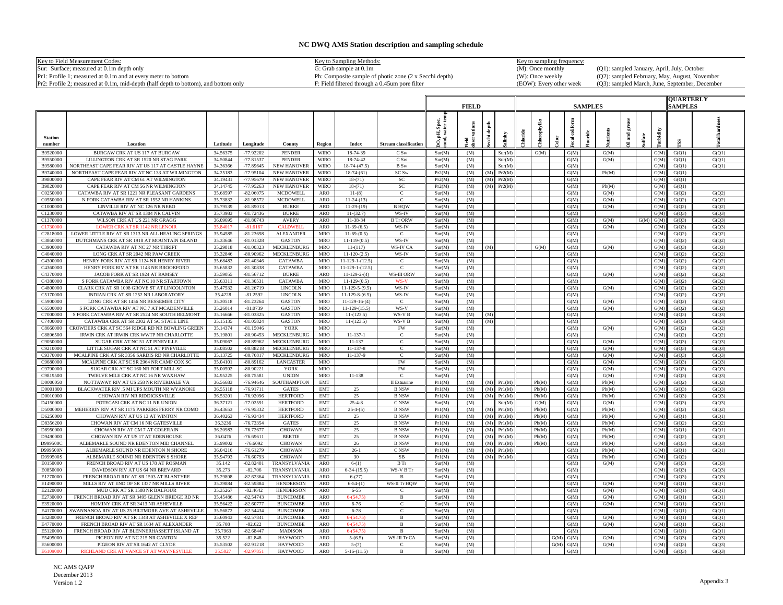|                          | Key to Field Measurement Codes:<br>Sur: Surface; measured at 0.1m depth only<br>Pr1: Profile 1; measured at 0.1m and at every meter to bottom<br>Pr2: Profile 2; measured at 0.1m, mid-depth (half depth to bottom), and bottom only | Key to Sampling Methods:<br>G: Grab sample at 0.1m<br>Ph: Composite sample of photic zone (2 x Secchi depth)<br>F: Field filtered through a 0.45um pore filter |                            |                                          |                          |                                    |                                        |                         |                         | Key to sampling frequency:<br>$(M)$ : Once monthly<br>(W): Once weekly<br>(EOW): Every other week |                  |         |                     |               |              |                | (Q1): sampled January, April, July, October<br>(Q2): sampled February, May, August, November<br>(Q3): sampled March, June, September, December |                     |        |              |                                    |                |
|--------------------------|--------------------------------------------------------------------------------------------------------------------------------------------------------------------------------------------------------------------------------------|----------------------------------------------------------------------------------------------------------------------------------------------------------------|----------------------------|------------------------------------------|--------------------------|------------------------------------|----------------------------------------|-------------------------|-------------------------|---------------------------------------------------------------------------------------------------|------------------|---------|---------------------|---------------|--------------|----------------|------------------------------------------------------------------------------------------------------------------------------------------------|---------------------|--------|--------------|------------------------------------|----------------|
|                          |                                                                                                                                                                                                                                      |                                                                                                                                                                |                            |                                          |                          |                                    |                                        |                         | <b>FIELD</b>            |                                                                                                   |                  |         |                     |               |              | <b>SAMPLES</b> |                                                                                                                                                |                     |        |              | <b>OUARTERLY</b><br><b>SAMPLES</b> |                |
| <b>Station</b><br>number | Location                                                                                                                                                                                                                             | Latitude                                                                                                                                                       | Longitude                  | County                                   | Region                   | Index                              | <b>Stream classification</b>           | Spec.<br>H.<br>੍ਰੰ ਖ਼ੁੱ | ration<br>ield<br>bserv | ecchi depth                                                                                       | alinity          | hloride | hlorophyll <i>a</i> | $_{\rm{der}}$ | cal coliform | noride         | utrients                                                                                                                                       | grease<br>$i$ l and | ulfate | urbidity     | S.                                 | otal hard      |
| B9520000                 | BURGAW CRK AT US 117 AT BURGAW                                                                                                                                                                                                       | 34.56375                                                                                                                                                       | $-77.92202$                | <b>PENDER</b>                            | <b>WIRO</b>              | 18-74-39                           | $C$ Sw                                 | Sur(M)                  | (M)                     |                                                                                                   | Sur(M)           |         | G(M)                |               | G(M)         |                | G(M)                                                                                                                                           |                     |        | G(M)         | G(O1)                              | G(O1)          |
| B9550000                 | LILLINGTON CRK AT SR 1520 NR STAG PARK                                                                                                                                                                                               | 34.50844                                                                                                                                                       | $-77.81537$                | <b>PENDER</b>                            | WIRO                     | 18-74-42                           | C Sw                                   | Sur(M)                  | (M)                     |                                                                                                   | Sur(M)           |         |                     |               | G(M)         |                | G(M)                                                                                                                                           |                     |        | G(M)         | G(O1)                              | G(O1)          |
| B9580000<br>B9740000     | NORTHEAST CAPE FEAR RIV AT US 117 AT CASTLE HAYNE<br>NORTHEAST CAPE FEAR RIV AT NC 133 AT WILMINGTON                                                                                                                                 | 34.36366<br>34.25183                                                                                                                                           | $-77.89645$<br>$-77.95104$ | <b>NEW HANOVER</b><br><b>NEW HANOVER</b> | WIRO<br><b>WIRO</b>      | $18-74-(47.5)$<br>$18-74-(61)$     | B Sw<br>SC <sub>Sw</sub>               | Sur(M)<br>Pr2(M)        | (M)<br>(M)              |                                                                                                   | Sur(M)<br>Pr2(M) |         |                     |               | G(M)<br>G(M) |                | Ph(M)                                                                                                                                          |                     |        | G(M)<br>G(M) | G(O1)<br>G(O1)                     | G(O1)          |
| B9800000                 | CAPE FEAR RIV AT CM 61 AT WILMINGTON                                                                                                                                                                                                 | 34.19431                                                                                                                                                       | $-77.95679$                | <b>NEW HANOVER</b>                       | <b>WIRO</b>              | $18-(71)$                          | SC                                     | Pr2(M)                  | (M)                     |                                                                                                   | Pr2(M)           |         |                     |               | G(M)         |                |                                                                                                                                                |                     |        | G(M)         | G(O1)                              |                |
| B9820000                 | CAPE FEAR RIV AT CM 56 NR WILMINGTON                                                                                                                                                                                                 | 34.14745                                                                                                                                                       | $-77.95263$                | <b>NEW HANOVER</b>                       | WIRO                     | $18-(71)$                          | SC                                     | Pr2(M)                  | (M)                     |                                                                                                   | Pr2(M)           |         |                     |               | G(M)         |                | Ph(M)                                                                                                                                          |                     |        | G(M)         | G(Q1)                              |                |
| C0250000                 | CATAWBA RIV AT SR 1221 NR PLEASANT GARDENS                                                                                                                                                                                           | 35.68597                                                                                                                                                       | $-82.06075$                | <b>MCDOWELL</b>                          | <b>ARO</b>               | $11-(8)$                           | $\overline{c}$                         | Sur(M)                  | (M)                     |                                                                                                   |                  |         |                     |               | G(M)         |                | G(M)                                                                                                                                           |                     |        | G(M)         | G(Q2)                              | G(Q2)          |
| C0550000<br>C1000000     | N FORK CATAWBA RIV AT SR 1552 NR HANKINS                                                                                                                                                                                             | 35.73832                                                                                                                                                       | $-81.98572$<br>$-81.89013$ | <b>MCDOWELI</b><br><b>BURKE</b>          | <b>ARO</b><br><b>ARO</b> | $11-24-(13)$                       | $\overline{C}$<br><b>B HOW</b>         | Sur(M)<br>Sur(M)        | (M)                     |                                                                                                   |                  |         |                     |               | G(M)<br>G(M) |                | G(M)<br>G(M)                                                                                                                                   |                     |        | G(M)<br>G(M) | G(Q2)<br>G(O2)                     | G(O2)          |
| C1230000                 | LINVILLE RIV AT NC 126 NR NEBO<br>CATAWBA RIV AT SR 1304 NR CALVIN                                                                                                                                                                   | 35.79539<br>35.73983                                                                                                                                           | $-81.72436$                | <b>BURKE</b>                             | ARO                      | $11-29-(19)$<br>$11-(32.7)$        | WS-IV                                  | Sur(M)                  | (M)<br>(M)              |                                                                                                   |                  |         |                     |               | G(M)         |                |                                                                                                                                                |                     |        | G(M)         | G(O3)                              | G(Q2)<br>G(Q3) |
| C1370000                 | WILSON CRK AT US 221 NR GRAGG                                                                                                                                                                                                        | 36.09695                                                                                                                                                       | $-81.80743$                | <b>AVERY</b>                             | <b>ARO</b>               | 11-38-34                           | <b>B</b> Tr ORW                        | Sur(M)                  | (M)                     |                                                                                                   |                  |         |                     |               | G(M)         |                | G(M)                                                                                                                                           |                     | G(M)   | G(M)         | G(03)                              | G(Q3)          |
|                          | <b>LOWED</b><br>$AT$ CD $11A$                                                                                                                                                                                                        |                                                                                                                                                                | .8161                      | <b>CALDWEL</b>                           | <b>ARO</b>               | $11-39-(6.5)$                      | WS-IV                                  | Sur(M)                  | (M)                     |                                                                                                   |                  |         |                     |               | G(M)         |                | G(M)                                                                                                                                           |                     |        | G(M)         | G(03)                              | G(03)          |
| C2818000                 | LOWER LITTLE RIV AT SR 1313 NR ALL HEALING SPRINGS                                                                                                                                                                                   | 35.94585                                                                                                                                                       | $-81.23698$                | <b>ALEXANDER</b>                         | <b>MRO</b>               | $11-69-(0.5)$                      |                                        | Sur(M)                  | (M)                     |                                                                                                   |                  |         |                     |               | G(M)         |                |                                                                                                                                                |                     |        | G(M)         | G(Q2)                              | G(Q2)          |
| C3860000<br>C390000      | DUTCHMANS CRK AT SR 1918 AT MOUNTAIN ISLAND<br>CATAWBA RIV AT NC 27 NR THRIFT                                                                                                                                                        | 35.33646<br>35.29818                                                                                                                                           | $-81.01328$<br>$-81.00323$ | <b>GASTON</b><br>MECKLENBURG             | <b>MRO</b><br><b>MRO</b> | $11-119-(0.5)$<br>$11-(117)$       | WS-IV<br>WS-IV CA                      | Sur(M)<br>Sur(M)        | (M)<br>(M)              |                                                                                                   |                  |         | G(M)                |               | G(M)<br>G(M) |                | G(M)                                                                                                                                           |                     |        | G(M)<br>G(M) | G(Q2)<br>G(Q3)                     | G(Q2)<br>G(Q3) |
| C4040000                 | LONG CRK AT SR 2042 NR PAW CREEK                                                                                                                                                                                                     | 35.32846                                                                                                                                                       | $-80.90962$                | <b>MECKLENBURG</b>                       | <b>MRO</b>               | $11-120-(2.5)$                     | WS-IV                                  | Sur(M)                  | (M)                     |                                                                                                   |                  |         |                     |               | G(M)         |                |                                                                                                                                                |                     |        | G(M)         | G(Q2)                              | G(Q2)          |
| C4300000                 | HENRY FORK RIV AT SR 1124 NR HENRY RIVER                                                                                                                                                                                             | 35.68483                                                                                                                                                       | $-81.40346$                | CATAWBA                                  | <b>MRO</b>               | $11-129-1-(12.5)$                  | $\mathcal{C}$                          | Sur(M)                  | (M)                     |                                                                                                   |                  |         |                     |               | G(M)         |                |                                                                                                                                                |                     |        | G(M)         | G(Q2)                              | G(Q2)          |
| C4360000                 | HENRY FORK RIV AT SR 1143 NR BROOKFORD                                                                                                                                                                                               | 35.65832                                                                                                                                                       | $-81.30838$                | CATAWBA                                  | <b>MRO</b>               | $11-129-1-(12.5)$                  | $\mathcal{C}$                          | Sur(M)                  | (M)                     |                                                                                                   |                  |         |                     |               | G(M)         |                |                                                                                                                                                |                     |        | G(M)         | G(Q2)                              | G(O2)          |
| C4370000<br>C4380000     | JACOB FORK AT SR 1924 AT RAMSEY                                                                                                                                                                                                      | 35.59055                                                                                                                                                       | $-81.56712$                | <b>BURKE</b>                             | ARO                      | $11-129-2-(4)$                     | WS-III ORW                             | Sur(M)                  | (M)                     |                                                                                                   |                  |         |                     |               | G(M)         |                | G(M)                                                                                                                                           |                     |        | G(M)         | G(Q2)                              | G(Q2)          |
| C4800000                 | S FORK CATAWBA RIV AT NC 10 NR STARTOWN<br>CLARK CRK AT SR 1008 GROVE ST AT LINCOLNTON                                                                                                                                               | 35.63311<br>35.47532                                                                                                                                           | $-81.30531$<br>$-81.26719$ | CATAWBA<br><b>LINCOLN</b>                | <b>MRO</b><br><b>MRO</b> | $11-129-(0.5)$<br>$11-129-5-(9.5)$ | WS-IV                                  | Sur(M)<br>Sur(M)        | (M)<br>(M)              |                                                                                                   |                  |         |                     |               | G(M)<br>G(M) |                | G(M)                                                                                                                                           |                     |        | G(M)<br>G(M) | G(O2)<br>G(O2)                     | G(Q2)<br>G(Q2) |
| C5170000                 | INDIAN CRK AT SR 1252 NR LABORATORY                                                                                                                                                                                                  | 35.4228                                                                                                                                                        | $-81.2592$                 | <b>LINCOLN</b>                           | <b>MRO</b>               | $11-129-8-(6.5)$                   | WS-IV                                  | Sur(M)                  | (M)                     |                                                                                                   |                  |         |                     |               | G(M)         |                |                                                                                                                                                |                     |        | G(M)         | G(Q2)                              | G(O2)          |
| C5900000                 | LONG CRK AT SR 1456 NR BESSEMER CITY                                                                                                                                                                                                 | 35.30518                                                                                                                                                       | $-81.23264$                | <b>GASTON</b>                            | <b>MRO</b>               | $11-129-16-(4)$                    | $\mathbf C$                            | Sur(M)                  | (M)                     |                                                                                                   |                  |         |                     |               | G(M)         |                | G(M)                                                                                                                                           |                     |        | G(M)         | G(Q2)                              | G(O2)          |
| C6500000                 | S FORK CATAWBA RIV AT NC 7 AT MCADENVILLE                                                                                                                                                                                            | 35.26014                                                                                                                                                       | $-81.0739$                 | <b>GASTON</b>                            | <b>MRO</b>               | $11-129-(15.5)$                    | WS-V                                   | Sur(M)                  | (M)                     |                                                                                                   |                  |         |                     |               | G(M)         |                | G(M)                                                                                                                                           |                     |        | G(M)         | G(O2)                              | G(Q2)          |
| C7000000<br>C7400000     | S FORK CATAWBA RIV AT SR 2524 NR SOUTH BELMONT<br>CATAWBA CRK AT SR 2302 AT SC STATE LINE                                                                                                                                            | 35.16666<br>35.15135                                                                                                                                           | -81.03825<br>$-81.05824$   | <b>GASTON</b><br><b>GASTON</b>           | <b>MRO</b><br><b>MRO</b> | $11-(123.5)$<br>$11-(123.5)$       | WS-V <sub>B</sub><br>WS-V <sub>B</sub> | Sur(M)<br>Sur(M)        | (M)<br>(M)              | M                                                                                                 |                  |         |                     |               | G(M)<br>G(M) |                |                                                                                                                                                |                     |        | G(M)<br>G(M) | G(O3)<br>G(O3)                     | G(O3)<br>G(O3) |
| C8660000                 | CROWDERS CRK AT SC 564 RIDGE RD NR BOWLING GREEN                                                                                                                                                                                     | 35.14374                                                                                                                                                       | $-81.15046$                | <b>YORK</b>                              | <b>MRO</b>               |                                    | <b>FW</b>                              | Sur(M)                  | (M)                     |                                                                                                   |                  |         |                     |               | G(M)         |                | G(M)                                                                                                                                           |                     |        | G(M)         | G(O2)                              | G(O2)          |
| C8896500                 | IRWIN CRK AT IRWIN CRK WWTP NR CHARLOTTE                                                                                                                                                                                             | 35.19801                                                                                                                                                       | $-80.90453$                | <b>MECKLENBURG</b>                       | <b>MRO</b>               | $11 - 137 - 1$                     | $\overline{c}$                         | Sur(M)                  | (M)                     |                                                                                                   |                  |         |                     |               | G(M)         |                |                                                                                                                                                |                     |        | G(M)         | G(Q2)                              | G(Q2)          |
| C9050000                 | SUGAR CRK AT NC 51 AT PINEVILLE                                                                                                                                                                                                      | 35.09067                                                                                                                                                       | -80.89962                  | MECKLENBURG                              | <b>MRO</b>               | $11 - 137$                         | $\mathsf C$                            | Sur(M)                  | (M)                     |                                                                                                   |                  |         |                     |               | G(M)         |                | G(M)                                                                                                                                           |                     |        | G(M)         | G(Q3)                              | G(Q3)          |
| C9210000                 | LITTLE SUGAR CRK AT NC 51 AT PINEVILLE                                                                                                                                                                                               | 35.08502                                                                                                                                                       | 80.88218                   | MECKLENBURG                              | <b>MRO</b>               | $11 - 137 - 8$                     | $\mathsf C$                            | Sur(M)                  | (M)                     |                                                                                                   |                  |         |                     |               | G(M)         |                | G(M)                                                                                                                                           |                     |        | G(M)         | G(Q3)                              | G(Q3)          |
| C9370000<br>C9680000     | MCALPINE CRK AT SR 3356 SARDIS RD NR CHARLOTTE<br>MCALPINE CRK AT SC SR 2964 NR CAMP COX SC                                                                                                                                          | 35.13725<br>35.04101                                                                                                                                           | $-80.76817$<br>$-80.89162$ | MECKLENBURG<br><b>LANCASTER</b>          | <b>MRO</b><br><b>MRO</b> | $11 - 137 - 9$                     | $\mathbf C$<br>FW                      | Sur(M)<br>Sur(M)        | (M)<br>(M)              |                                                                                                   |                  |         |                     |               | G(M)<br>G(M) |                | G(M)<br>G(M)                                                                                                                                   |                     |        | G(M)<br>G(M) | G(O3)<br>G(03)                     | G(Q3)<br>G(03) |
| C9790000                 | SUGAR CRK AT SC 160 NR FORT MILL SC                                                                                                                                                                                                  | 35.00592                                                                                                                                                       | $-80.90221$                | <b>YORK</b>                              | <b>MRO</b>               |                                    | <b>FW</b>                              | Sur(M)                  | (M)                     |                                                                                                   |                  |         |                     |               | G(M)         |                | G(M)                                                                                                                                           |                     |        | G(M)         | G(Q3)                              | G(Q3)          |
| C9819500                 | TWELVE MILE CRK AT NC 16 NR WAXHAW                                                                                                                                                                                                   | 34.95225                                                                                                                                                       | $-80.75581$                | <b>UNION</b>                             | <b>MRO</b>               | 11-138                             | $\mathcal{C}$                          | Sur(M)                  | (M)                     |                                                                                                   |                  |         |                     |               | G(M)         |                | G(M)                                                                                                                                           |                     |        | G(M)         | G(Q3)                              | G(Q3)          |
| D0000050                 | NOTTAWAY RIV AT US 258 NR RIVERDALE VA                                                                                                                                                                                               | 36.56683                                                                                                                                                       | -76.94646                  | SOUTHAMPTON                              | EMT                      |                                    | <b>II</b> Estuarine                    | Pr1(M)                  | (M)                     | M                                                                                                 | Pr1(M)           |         | Ph(M)               |               | G(M)         |                | Ph(M)                                                                                                                                          |                     |        | G(M)         | G(Q2)                              | G(Q2)          |
| D0001800                 | BLACKWATER RIV .5 MI UPS MOUTH NR WYANOKE                                                                                                                                                                                            | 36.55118                                                                                                                                                       | 76.91711                   | <b>GATES</b>                             | EMT                      | 25                                 | <b>BNSW</b>                            | Pr1(M)                  | (M)                     | M<br>(M                                                                                           | Pr1(M)           |         | Ph(M)               |               | G(M)         |                | Ph(M)                                                                                                                                          |                     |        | G(M)         | G(Q3)                              | G(Q3)          |
| D0010000<br>D4150000     | CHOWAN RIV NR RIDDICKSVILLE<br>POTECASI CRK AT NC 11 NR UNION                                                                                                                                                                        | 36.53201<br>36.37121                                                                                                                                           | 76.92096<br>-77.02591      | <b>HERTFORD</b><br><b>HERTFORD</b>       | <b>EMT</b><br>EMT        | 25<br>$25 - 4 - 8$                 | <b>B NSW</b><br>C <sub>NSW</sub>       | Pr1(M)<br>Sur(M)        | (M)<br>(M)              |                                                                                                   | Pr1(M)<br>Sur(M) |         | Ph(M)<br>G(M)       |               | G(M)<br>G(M) |                | Ph(M)<br>G(M)                                                                                                                                  |                     |        | G(M)<br>G(M) | G(Q3)<br>G(Q3)                     | G(Q3)<br>G(O3) |
| D5000000                 | MEHERRIN RIV AT SR 1175 PARKERS FERRY NR COMO                                                                                                                                                                                        | 36.43653                                                                                                                                                       | -76.95332                  | <b>HERTFORD</b>                          | <b>EMT</b>               | $25-4-(5)$                         | <b>B NSW</b>                           | Pr1(M)                  | (M)                     |                                                                                                   | Pr1(M)           |         | Ph(M)               |               | G(M)         |                | Ph(M)                                                                                                                                          |                     |        | G(M)         | G(Q2)                              | G(O2)          |
| D6250000                 | CHOWAN RIV AT US 13 AT WINTON                                                                                                                                                                                                        | 36.40263                                                                                                                                                       | -76.93434                  | <b>HERTFORD</b>                          | EMT                      | 25                                 | <b>B NSW</b>                           | Pr1(M)                  | (M)                     |                                                                                                   | Pr1(M            |         | Ph(M)               |               | G(M)         |                | Ph(M)                                                                                                                                          |                     |        | G(M)         | G(O1)                              | G(O1)          |
| D8356200                 | CHOWAN RIV AT CM 16 NR GATESVILLE                                                                                                                                                                                                    | 36.3236                                                                                                                                                        | $-76.73354$                | <b>GATES</b>                             | EMT                      | 25                                 | <b>B NSW</b>                           | Pr1(M)                  | (M)                     |                                                                                                   | Pr1(M)           |         | Ph(M)               |               | G(M)         |                | Ph(M)                                                                                                                                          |                     |        | G(M)         | G(Q2)                              | G(O2)          |
| D8950000<br>D9490000     | CHOWAN RIV AT CM 7 AT COLERAIN<br>CHOWAN RIV AT US 17 AT EDENHOUSE                                                                                                                                                                   | 36.20983<br>36.0476                                                                                                                                            | $-76.72677$<br>$-76.69611$ | <b>CHOWAN</b><br><b>BERTIE</b>           | EMT<br>EMT               | 25<br>25                           | <b>B NSW</b><br><b>B NSW</b>           | Pr1(M)<br>Pr1(M)        | (M)<br>(M)              |                                                                                                   | Pr1(M<br>Pr1(M   |         | Ph(M)<br>Ph(M)      |               | G(M)<br>G(M) |                | Ph(M)<br>Ph(M)                                                                                                                                 |                     |        | G(M)<br>G(M) | G(O1)<br>G(Q2)                     | G(O1)<br>G(O2) |
| D999500                  | ALBEMARLE SOUND NR EDENTON MID CHANNEL                                                                                                                                                                                               | 35.99002                                                                                                                                                       | $-76.6092$                 | CHOWAN                                   | EMT                      | 26                                 | <b>B NSW</b>                           | Pr1(M)                  | (M)                     |                                                                                                   | Pr1(M            |         | Ph(M)               |               | G(M)         |                | Ph(M)                                                                                                                                          |                     |        | G(M)         | G(Q3)                              | G(O3)          |
| D9995001                 | ALBEMARLE SOUND NR EDENTON N SHORE                                                                                                                                                                                                   | 36.04216                                                                                                                                                       | 76.61279                   | <b>CHOWAN</b>                            | <b>EMT</b>               | $26-1$                             | <b>CNSW</b>                            | Pr1(M)                  | (M)                     |                                                                                                   | Pr1(M            |         |                     |               | G(M)         |                | Ph(M)                                                                                                                                          |                     |        | G(M)         | G(O1)                              | G(O1)          |
| D999500                  | ALBEMARLE SOUND NR EDENTON S SHORE                                                                                                                                                                                                   | 35.94793                                                                                                                                                       | 76,60793                   | <b>CHOWAN</b>                            | <b>EMT</b>               | 30                                 | <b>SB</b>                              | Pr1(M)                  | (M)                     |                                                                                                   | Pr1(M)           |         |                     |               | G(M)         |                | Ph(M)                                                                                                                                          |                     |        | G(M)         | G(O2)                              |                |
| E0150000<br>E0850000     | FRENCH BROAD RIV AT US 178 AT ROSMAN<br>DAVIDSON RIV AT US 64 NR BREVARD                                                                                                                                                             | 35.142<br>35.273                                                                                                                                               | $-82.82401$<br>$-82.706$   | <b>TRANSYLVANIA</b><br>TRANSYLVANIA      | <b>ARO</b><br><b>ARO</b> | $6-(1)$<br>$6 - 34 - (15.5)$       | <b>B</b> Tr<br>WS-V B Tr               | Sur(M)<br>Sur(M)        | (M)<br>(M)              |                                                                                                   |                  |         |                     |               | G(M)<br>G(M) |                | G(M)                                                                                                                                           |                     |        | G(M)<br>G(M) | G(Q3)<br>G(Q3)                     | G(Q3)<br>G(Q3) |
| E1270000                 | FRENCH BROAD RIV AT SR 1503 AT BLANTYRE                                                                                                                                                                                              | 35.29898                                                                                                                                                       | $-82.62364$                | TRANSYLVANIA                             | <b>ARO</b>               | $6-(27)$                           | $\overline{B}$                         | Sur(M)                  | (M)                     |                                                                                                   |                  |         |                     |               | G(M)         |                |                                                                                                                                                |                     |        | G(M)         | G(Q3)                              | G(Q3)          |
| E1490000                 | MILLS RIV AT END OF SR 1337 NR MILLS RIVER                                                                                                                                                                                           | 35.39884                                                                                                                                                       | $-82.59884$                | <b>HENDERSON</b>                         | ARO                      | $6 - 54 - (1)$                     | WS-II Tr HQW                           | Sur(M)                  | (M)                     |                                                                                                   |                  |         |                     |               | G(M)         |                | G(M)                                                                                                                                           |                     |        | G(M)         | G(Q1)                              | G(Q1)          |
| E2120000                 | MUD CRK AT SR 1508 NR BALFOUR                                                                                                                                                                                                        | 35.35267                                                                                                                                                       | $-82.4642$                 | <b>HENDERSON</b>                         | <b>ARO</b>               | $6 - 55$                           | $\mathcal{C}_{\mathcal{C}}$            | Sur(M)                  | (M)                     |                                                                                                   |                  |         |                     |               | G(M)         |                | G(M)                                                                                                                                           |                     |        | G(M)         | G(Q1)                              | G(Q1)          |
| E2730000                 | FRENCH BROAD RIV AT SR 3495 GLENN BRIDGE RD NR                                                                                                                                                                                       | 35.45486                                                                                                                                                       | $-82.54743$                | <b>BUNCOMBE</b>                          | ARO                      | $6-(54.75)$                        | $\mathbf B$                            | Sur(M)                  | (M)                     |                                                                                                   |                  |         |                     |               | G(M)         |                | G(M)                                                                                                                                           |                     |        | G(M)         | G(Q1)                              | G(Q1)          |
| E3520000<br>E4170000     | HOMINY CRK AT SR 3413 NR ASHEVILLE<br>SWANNANOA RIV AT US 25 BILTMORE AVE AT ASHEVILLE                                                                                                                                               | 35.56422<br>35.56872                                                                                                                                           | $-82.60777$<br>$-82.54434$ | <b>BUNCOMBE</b><br><b>BUNCOMBE</b>       | <b>ARO</b><br><b>ARO</b> | $6 - 76$<br>$6 - 78$               | $\overline{c}$<br>$\mathcal{C}$        | Sur(M)<br>Sur(M)        | (M)<br>(M)              |                                                                                                   |                  |         |                     |               | G(M)<br>G(M) |                | G(M)                                                                                                                                           |                     |        | G(M)<br>G(M) | G(Q1)<br>G(Q1)                     | G(Q1)<br>G(Q1) |
| E4280000                 | FRENCH BROAD RIV AT SR 1348 AT ASHEVILLE X REF                                                                                                                                                                                       | 35.60943                                                                                                                                                       | $-82.57841$                | <b>BUNCOMBE</b>                          | ARO                      | 6.6475                             | $\mathbf{B}$                           | Sur(M)                  | (M)                     |                                                                                                   |                  |         |                     |               | G(M)         |                | G(M)                                                                                                                                           |                     |        | G(M)         | G(Q1)                              | G(Q1)          |
| E4770000                 | FRENCH BROAD RIV AT SR 1634 AT ALEXANDER                                                                                                                                                                                             | 35.708                                                                                                                                                         | $-82.622$                  | <b>BUNCOMBE</b>                          | ARO                      | 6-654.75                           | B                                      | Sur(M)                  | (M)                     |                                                                                                   |                  |         |                     |               | G(M)         |                | G(M)                                                                                                                                           |                     |        | G(M)         | G(Q1)                              | G(Q1)          |
| E5120000                 | FRENCH BROAD RIV AT BLENNERHASSETT ISLAND AT                                                                                                                                                                                         | 35.7963                                                                                                                                                        | 82.68447                   | <b>MADISON</b>                           | ARO                      |                                    | B                                      | Sur(M)                  | (M)                     |                                                                                                   |                  |         |                     |               | G(M)         |                |                                                                                                                                                |                     |        | G(M)         | G(Q1)                              | G(Q1)          |
| E5495000                 | PIGEON RIV AT NC 215 NR CANTON                                                                                                                                                                                                       | 35.522                                                                                                                                                         | $-82.848$                  | <b>HAYWOOD</b>                           | ARO                      | $5-(6.5)$                          | WS-III Tr CA                           | Sur(M)                  | (M)                     |                                                                                                   |                  |         |                     | G(M)          | G(M)         |                | G(M)                                                                                                                                           |                     |        | G(M)         | G(Q3)                              | G(O3)          |
| E5600000                 | PIGEON RIV AT SR 1642 AT CLYDE<br>RICHLAND CRK AT VANCE ST AT WA                                                                                                                                                                     | 35.53502                                                                                                                                                       | $-82.91218$                | <b>HAYWOOD</b><br><b>HAYWOOD</b>         | ARO<br>ARO               | $5-(7)$<br>$5-16-(11.5)$           | B                                      | Sur(M)<br>Sur(M)        | (M)<br>(M)              |                                                                                                   |                  |         |                     | G(M)          | G(M)<br>G(M) |                | G(M)                                                                                                                                           |                     |        | G(M)<br>G(M) | G(Q3)<br>G(Q3)                     | G(O3)<br>G(O3) |
|                          |                                                                                                                                                                                                                                      |                                                                                                                                                                |                            |                                          |                          |                                    |                                        |                         |                         |                                                                                                   |                  |         |                     |               |              |                |                                                                                                                                                |                     |        |              |                                    |                |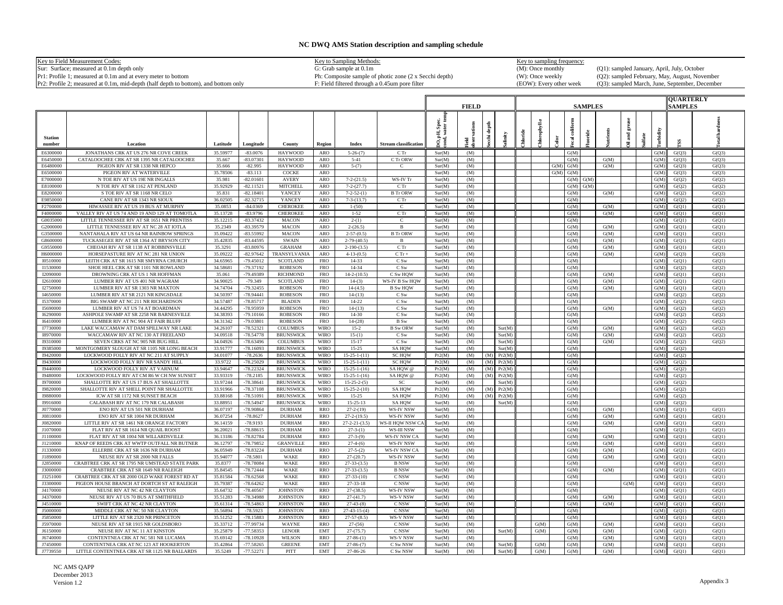|                          | Key to Field Measurement Codes:<br>Sur: Surface; measured at 0.1m depth only<br>Pr1: Profile 1; measured at 0.1m and at every meter to bottom<br>Pr2: Profile 2; measured at 0.1m, mid-depth (half depth to bottom), and bottom only |                      | <b>Key to Sampling Methods:</b><br>G: Grab sample at 0.1m<br>Ph: Composite sample of photic zone (2 x Secchi depth)<br>F: Field filtered through a 0.45um pore filter |                                      |                            |                                     |                                          |                  |                     |             | Key to sampling frequency:<br>(M): Once monthly<br>(W): Once weekly<br>(EOW): Every other week |         |              |      |              |                |              |                            | (Q1): sampled January, April, July, October<br>(Q2): sampled February, May, August, November<br>(Q3): sampled March, June, September, December |              |                                    |                              |
|--------------------------|--------------------------------------------------------------------------------------------------------------------------------------------------------------------------------------------------------------------------------------|----------------------|-----------------------------------------------------------------------------------------------------------------------------------------------------------------------|--------------------------------------|----------------------------|-------------------------------------|------------------------------------------|------------------|---------------------|-------------|------------------------------------------------------------------------------------------------|---------|--------------|------|--------------|----------------|--------------|----------------------------|------------------------------------------------------------------------------------------------------------------------------------------------|--------------|------------------------------------|------------------------------|
|                          |                                                                                                                                                                                                                                      |                      |                                                                                                                                                                       |                                      |                            |                                     |                                          |                  | <b>FIELD</b>        |             |                                                                                                |         |              |      |              | <b>SAMPLES</b> |              |                            |                                                                                                                                                |              | <b>QUARTERLY</b><br><b>SAMPLES</b> |                              |
| <b>Station</b><br>number | Location                                                                                                                                                                                                                             | Latitude             | Longitude                                                                                                                                                             | County                               | Region                     | <b>Index</b>                        | Stream classification                    | š<br>필<br>ੱਥੋਂ   | ield<br>bservations | ecchi depth | dinity                                                                                         | hloride | hlorophyll a | olor | eal coliform | luoride        |              | grease<br>$\mathbf{u}$ and | ulfate                                                                                                                                         | urbidity     | S.                                 | ã<br>$\overline{\mathbf{g}}$ |
| E6300000                 | JONATHANS CRK AT US 276 NR COVE CREEK                                                                                                                                                                                                | 35.59977             | $-83.0076$                                                                                                                                                            | <b>HAYWOOD</b>                       | <b>ARO</b>                 | $5-26-(7)$                          | $C$ Tr                                   | Sur(M)           | (M)                 |             |                                                                                                |         |              |      | G(M)         |                |              |                            |                                                                                                                                                | G(M)         | G(Q3)                              | G(O3)                        |
| E6450000                 | CATALOOCHEE CRK AT SR 1395 NR CATALOOCHEE                                                                                                                                                                                            | 35.667               | 83.07301                                                                                                                                                              | <b>HAYWOOD</b>                       | ARO                        | $5 - 41$                            | C Tr ORW                                 | Sur(M)           | (M)                 |             |                                                                                                |         |              |      | G(M)         |                | G(M)         |                            |                                                                                                                                                | G(M)         | G(O3)                              | G(O3)                        |
| E6480000                 | PIGEON RIV AT SR 1338 NR HEPCO                                                                                                                                                                                                       | 35.666               | $-82.995$                                                                                                                                                             | <b>HAYWOOD</b>                       | ARO                        | $5-(7)$                             |                                          | Sur(M)           | (M)                 |             |                                                                                                |         |              | G(N) | G(M)         |                | G(M)         |                            |                                                                                                                                                | G(M)         | G(Q3)                              | G(O3)                        |
| E6500000<br>E7000000     | PIGEON RIV AT WATERVILLE<br>N TOE RIV AT US 19E NR INGALLS                                                                                                                                                                           | 35,78506<br>35.981   | $-83.113$<br>82.01601                                                                                                                                                 | COCKE<br><b>AVERY</b>                | <b>ARO</b><br><b>ARO</b>   | $7 - 2 - (21.5)$                    | WS-IV Tr                                 | Sur(M)<br>Sur(M) | (M)<br>(M)          |             |                                                                                                |         |              | G/M  | G(M)<br>G(M) | GOM            |              |                            |                                                                                                                                                | G(M)<br>G(M) | G(Q3)<br>G(Q2)                     | G(O3)<br>G(Q2)               |
| E8100000                 | N TOE RIV AT SR 1162 AT PENLAND                                                                                                                                                                                                      | 35.92929             | $-82.11521$                                                                                                                                                           | <b>MITCHELL</b>                      | ARO                        | $7 - 2 - (27.7)$                    | $C$ Tr                                   | Sur(M)           | (M)                 |             |                                                                                                |         |              |      | G(M)         | G(M)           |              |                            |                                                                                                                                                | G(M)         | G(Q2)                              | G(Q2)                        |
| E8200000                 | S TOE RIV AT SR 1168 NR CELO                                                                                                                                                                                                         | 35.831               | $-82.18401$                                                                                                                                                           | YANCEY                               | ARO                        | $7 - 2 - 52 - (1)$                  | <b>B</b> Tr ORW                          | Sur(M)           | (M)                 |             |                                                                                                |         |              |      | G(M)         |                | G(M)         |                            |                                                                                                                                                | G(M)         | G(Q2)                              | G(Q2)                        |
| E9850000                 | CANE RIV AT SR 1343 NR SIOU?                                                                                                                                                                                                         | 36.02505             | $-82.32715$                                                                                                                                                           | YANCEY                               | <b>ARO</b>                 | $7-3-(13.7)$                        | C Tr                                     | Sur(M)           | (M)                 |             |                                                                                                |         |              |      | G(M)         |                |              |                            |                                                                                                                                                | G(M)         | G(Q2)                              | G(Q2)                        |
| F2700000<br>F4000000     | HIWASSEE RIV AT US 19 BUS AT MURPHY<br>VALLEY RIV AT US 74 AND 19 AND 129 AT TOMOTLA                                                                                                                                                 | 35.0853<br>35.13728  | $-84.0369$<br>$-83.9796$                                                                                                                                              | <b>CHEROKEE</b><br><b>CHEROKEE</b>   | ARO<br><b>ARO</b>          | $1-(50)$<br>$1 - 52$                | $\mathbf{C}$<br>$C$ Tr                   | Sur(M)<br>Sur(M) | (M)<br>(M)          |             |                                                                                                |         |              |      | G(M)<br>G(M) |                | G(M)<br>G(M) |                            |                                                                                                                                                | G(M)<br>G(M) | G(O1)<br>G(O1)                     | G(O1)<br>G(O1)               |
| G0035000                 | LITTLE TENNESSEE RIV AT SR 1651 NR PRENTISS                                                                                                                                                                                          | 35.12215             | $-83.37432$                                                                                                                                                           | <b>MACON</b>                         | <b>ARO</b>                 | $2-(1)$                             | $\mathbb C$                              | Sur(M)           | (M)                 |             |                                                                                                |         |              |      | G(M)         |                |              |                            |                                                                                                                                                | G(M)         | G(Q1)                              | G(Q1)                        |
| G2000000                 | LITTLE TENNESSEE RIV AT NC 28 AT IOTLA                                                                                                                                                                                               | 35.2349              | $-83.39579$                                                                                                                                                           | <b>MACON</b>                         | ARO                        | $2-(26.5)$                          | $\overline{B}$                           | Sur(M)           | (M)                 |             |                                                                                                |         |              |      | G(M)         |                | G(M)         |                            |                                                                                                                                                | G(M)         | G(Q1)                              | G(Q1)                        |
| G3500000                 | NANTAHALA RIV AT US 64 NR RAINBOW SPRINGS                                                                                                                                                                                            | 35.09422             | 83.55992                                                                                                                                                              | <b>MACON</b>                         | ARO                        | $2-57-(0.5)$                        | <b>B</b> Tr ORW                          | Sur(M)           | (M)                 |             |                                                                                                |         |              |      | G(M)         |                | G(M)         |                            |                                                                                                                                                | G(M)         | G(O1)                              | G(O1)                        |
| G8600000                 | TUCKASEGEE RIV AT SR 1364 AT BRYSON CITY                                                                                                                                                                                             | 35.42835             | $-83.4459$ <sup>4</sup>                                                                                                                                               | <b>SWAIN</b>                         | ARO                        | $2 - 79 - (40.5)$                   |                                          | Sur(M)           | (M)                 |             |                                                                                                |         |              |      | G(M)         |                | G(M)         |                            |                                                                                                                                                | G(M)         | G(Q1)                              | G(Q1)                        |
| G9550000<br>H6000000     | CHEOAH RIV AT SR 1138 AT ROBBINSVILLE<br>HORSEPASTURE RIV AT NC 281 NR UNION                                                                                                                                                         | 35.3291<br>35.09222  | $-83.80976$<br>$-82.97642$                                                                                                                                            | <b>GRAHAM</b><br><b>TRANSYLVANIA</b> | ARO<br>ARO                 | $2-190-(3.5)$<br>$4-13-(0.5)$       | C Tr<br>$C Tr +$                         | Sur(M)<br>Sur(M) | (M)<br>(M)          |             |                                                                                                |         |              |      | G(M)<br>G(M) |                | G(M)<br>G(M) |                            |                                                                                                                                                | G(M)<br>G(M) | G(Q1)<br>G(Q3)                     | G(Q1)<br>G(Q3)               |
| 10510000                 | LEITH CRK AT SR 1615 NR SMYRNA CHURCH                                                                                                                                                                                                | 34.65965             | $-79.4501$                                                                                                                                                            | SCOTLAND                             | <b>FRO</b>                 | 14-33                               | C Sw                                     | Sur(M)           | (M)                 |             |                                                                                                |         |              |      | G(M)         |                |              |                            |                                                                                                                                                | G(M)         | G(Q1)                              | G(Q1)                        |
| 11530000                 | SHOE HEEL CRK AT SR 1101 NR ROWLAND                                                                                                                                                                                                  | 34.58681             | -79.37192                                                                                                                                                             | <b>ROBESON</b>                       | <b>FRO</b>                 | $14 - 34$                           | C Sw                                     | Sur(M)           | (M)                 |             |                                                                                                |         |              |      | G(M)         |                |              |                            |                                                                                                                                                | G(M)         | G(Q2)                              | G(Q2)                        |
| 12090000                 | DROWNING CRK AT US 1 NR HOFFMAN                                                                                                                                                                                                      | 35.061               | -79.4938                                                                                                                                                              | <b>RICHMOND</b>                      | <b>FRO</b>                 | $14-2-(10.5)$                       | C Sw HQW                                 | Sur(M)           | (M)                 |             |                                                                                                |         |              |      | G(M          |                | G(M)         |                            |                                                                                                                                                | G(M          | G(Q1)                              | G(Q1)                        |
| 12610000<br>12750000     | <b>LUMBER RIV AT US 401 NR WAGRAM</b><br>LUMBER RIV AT SR 1303 NR MAXTON                                                                                                                                                             | 34.90025<br>34.74704 | $-79.349$<br>79.32455                                                                                                                                                 | <b>SCOTLAND</b><br><b>ROBESON</b>    | <b>FRO</b><br><b>FRO</b>   | $14-(3)$<br>$14-(4.5)$              | <b>WS-IV B Sw HQW</b><br><b>B Sw HOW</b> | Sur(M)<br>Sur(M) | (M)<br>(M)          |             |                                                                                                |         |              |      | G(M<br>G(M)  |                | G(M)<br>G(M) |                            |                                                                                                                                                | G(M<br>G(M)  | G(Q1)<br>G(O1)                     | G(Q1)<br>G(O1)               |
| 14650000                 | LUMBER RIV AT SR 2121 NR KINGSDALE                                                                                                                                                                                                   | 34.50397             | 78.94441                                                                                                                                                              | <b>ROBESON</b>                       | <b>FRO</b>                 | $14-(13)$                           | $\mathrm{C}\:\mathrm{Sw}$                | Sur(M)           | (M)                 |             |                                                                                                |         |              |      | G(M)         |                |              |                            |                                                                                                                                                | G(M)         | G(Q2)                              | G(Q2)                        |
| 15370000                 | BIG SWAMP AT NC 211 NR RICHARDSON                                                                                                                                                                                                    | 34.57487             | $-78.85717$                                                                                                                                                           | <b>BLADEN</b>                        | <b>FRO</b>                 | $14 - 22$                           | $C$ Sw                                   | Sur(M)           | (M)                 |             |                                                                                                |         |              |      | G(M)         |                |              |                            |                                                                                                                                                | G(M)         | G(Q2)                              | G(Q2)                        |
| 15690000                 | LUMBER RIV AT US 74 AT BOARDMAN                                                                                                                                                                                                      | 34.44295             | 78.95959                                                                                                                                                              | <b>ROBESON</b>                       | <b>FRO</b>                 | $14-(13)$                           | $C$ Sw                                   | Sur(M)           | (M)                 |             |                                                                                                |         |              |      | G(M)         |                | G(M)         |                            |                                                                                                                                                | G(M)         | G(Q2)                              | G(Q2)                        |
| 16290000<br>I6410000     | ASHPOLE SWAMP AT SR 2258 NR BARNESVILLE<br>LUMBER RIV AT NC 904 AT FAIR BLUFF                                                                                                                                                        | 34.38393<br>34.31342 | $-79.10166$<br>-79.03801                                                                                                                                              | <b>ROBESON</b><br><b>ROBESON</b>     | <b>FRO</b><br><b>FRO</b>   | $14 - 30$<br>$14-(28)$              | CSW<br><b>B</b> Sw                       | Sur(M)<br>Sur(M) | (M)<br>(M)          |             |                                                                                                |         |              |      | G(M)<br>G(M) |                |              |                            |                                                                                                                                                | G(M)<br>G(M) | G(Q2)                              | G(Q2)<br>G(Q2)               |
| 17730000                 | LAKE WACCAMAW AT DAM SPILLWAY NR LAKE                                                                                                                                                                                                | 34.26107             | $-78.52321$                                                                                                                                                           | <b>COLUMBUS</b>                      | WIRO                       | $15-2$                              | <b>B</b> Sw ORW                          | Sur(M)           | (M)                 |             | Sur(M)                                                                                         |         |              |      | G(M)         |                | G(M)         |                            |                                                                                                                                                | G(M)         | G(Q2)<br>G(Q2)                     | G(Q2)                        |
| 18970000                 | WACCAMAW RIV AT NC 130 AT FREELAND                                                                                                                                                                                                   | 34.09518             | $-78.54778$                                                                                                                                                           | <b>BRUNSWICK</b>                     | <b>WIRO</b>                | $15-(1)$                            | $\mathrm{C}\:\mathrm{Sw}$                | Sur(M)           | (M)                 |             | Sur(M)                                                                                         |         |              |      | G(M)         |                | G(M)         |                            |                                                                                                                                                | G(M)         | G(Q2)                              | G(Q2)                        |
| 19310000                 | SEVEN CRKS AT NC 905 NR BUG HILL                                                                                                                                                                                                     | 34.04926             | $-78.63496$                                                                                                                                                           | <b>COLUMBUS</b>                      | <b>WIRO</b>                | $15 - 17$                           | C Sw                                     | Sur(M)           | (M)                 |             | Sur(M)                                                                                         |         |              |      | G(M)         |                | G(M)         |                            |                                                                                                                                                | G(M)         | G(Q2)                              | G(Q2)                        |
| 19385000                 | MONTGOMERY SLOUGH AT SR 1105 NR LONG BEACH                                                                                                                                                                                           | 33.91777             | $-78.16093$                                                                                                                                                           | <b>BRUNSWICK</b>                     | <b>WIRO</b>                | $15 - 25$                           | <b>SAHQW</b>                             | Sur(M)           | (M)                 |             | Sur(M)                                                                                         |         |              |      | G(M)         |                |              |                            |                                                                                                                                                | G(M)         | G(Q2)                              |                              |
| 19420000<br>19430000     | LOCKWOOD FOLLY RIV AT NC 211 AT SUPPLY<br>LOCKWOOD FOLLY RIV NR SANDY HILL                                                                                                                                                           | 34.01077<br>33.9722  | $-78.2636$<br>78.25029                                                                                                                                                | <b>BRUNSWICK</b><br><b>BRUNSWICK</b> | <b>WIRO</b><br><b>WIRO</b> | $15-25-1-(11)$<br>$15-25-1-(11)$    | <b>SCHOW</b><br><b>SCHOW</b>             | Pr2(M)<br>Pr2(M) | (M)<br>(M)          | M           | Pr2(M)<br>Pr2(M)                                                                               |         |              |      | G(M)<br>G(M) |                |              |                            |                                                                                                                                                | G(M)<br>G(M) | G(Q2)<br>G(Q2)                     |                              |
| 19440000                 | LOCKWOOD FOLLY RIV AT VARNUM                                                                                                                                                                                                         | 33.94647             | 78.22324                                                                                                                                                              | <b>BRUNSWICK</b>                     | <b>WIRO</b>                | $15-25-1-(16)$                      | SAHOW <sup>@</sup>                       | Pr2(M)           | (M)                 | (M)         | Pr2(M)                                                                                         |         |              |      | G(M)         |                |              |                            |                                                                                                                                                | G(M)         | G(O2)                              |                              |
| 19480000                 | LOCKWOOD FOLLY RIV AT CM R6 W CH NW SUNSET                                                                                                                                                                                           | 33.93319             | $-78.2185$                                                                                                                                                            | <b>BRUNSWICK</b>                     | <b>WIRO</b>                | $15-25-1-(16)$                      | SAHOW <sup>@</sup>                       | Pr2(M)           | (M)                 | (M)         | Pr2(M)                                                                                         |         |              |      | G(M)         |                |              |                            |                                                                                                                                                | G(M)         | G(Q2)                              |                              |
| 19700000                 | SHALLOTTE RIV AT US 17 BUS AT SHALLOTTE                                                                                                                                                                                              | 33.97244             | $-78.38641$                                                                                                                                                           | <b>BRUNSWICK</b>                     | <b>WIRO</b>                | $15 - 25 - 2 - (5)$                 | SC                                       | Sur(M)           | (M)                 |             | Sur(M)                                                                                         |         |              |      | G(M)         |                |              |                            |                                                                                                                                                | G(M)         | G(Q2)                              |                              |
| 19820000<br>19880000     | SHALLOTTE RIV AT SHELL POINT NR SHALLOTTE<br>ICW AT SR 1172 NR SUNSET BEACH                                                                                                                                                          | 33.91966<br>33.88168 | $-78.37108$<br>$-78.51091$                                                                                                                                            | <b>BRUNSWICK</b><br><b>BRUNSWICK</b> | <b>WIRO</b><br><b>WIRO</b> | $15-25-2-(10)$<br>$15 - 25$         | <b>SAHOW</b><br><b>SAHOW</b>             | Pr2(M)<br>Pr2(M) | (M)<br>(M)          | M           | Pr2(M)<br>Pr2(M)                                                                               |         |              |      | G(M)<br>G(M) |                |              |                            |                                                                                                                                                | G(M)<br>G(M) | G(O2)<br>G(Q2)                     |                              |
| 19916000                 | CALABASH RIV AT NC 179 NR CALABASH                                                                                                                                                                                                   | 33.88951             | -78.54947                                                                                                                                                             | <b>BRUNSWICK</b>                     | <b>WIRO</b>                | $15 - 25 - 13$                      | <b>SAHOW</b>                             | Sur(M)           | (M)                 |             | Sur(M)                                                                                         |         |              |      | G(M)         |                |              |                            |                                                                                                                                                | G(M)         | G(Q2)                              |                              |
| 10770000                 | ENO RIV AT US 501 NR DURHAM                                                                                                                                                                                                          | 36.07197             | $-78.90864$                                                                                                                                                           | <b>DURHAM</b>                        | <b>RRO</b>                 | $27-2-(19)$                         | WS-IV NSW                                | Sur(M)           | (M)                 |             |                                                                                                |         |              |      | G(M)         |                | G(M)         |                            |                                                                                                                                                | G(M)         | G(O1)                              | G(O1)                        |
| 1081000                  | ENO RIV AT SR 1004 NR DURHAM                                                                                                                                                                                                         | 36.07254             | -78.8627                                                                                                                                                              | <b>DURHAM</b>                        | <b>RRO</b>                 | $27-2-(19.5)$                       | WS-IV NSW                                | Sur(M)           | (M)                 |             |                                                                                                |         |              |      | G(M)         |                | G(M)         |                            |                                                                                                                                                | G(M)         | G(O1)                              | G(Q1)                        |
| 1082000<br>1107000       | LITTLE RIV AT SR 1461 NR ORANGE FACTORY<br>FLAT RIV AT SR 1614 NR QUAIL ROOST                                                                                                                                                        | 36.14159<br>36.20021 | -78.9193<br>78.8861                                                                                                                                                   | <b>DURHAM</b><br><b>DURHAM</b>       | <b>RRO</b><br><b>RRO</b>   | $27 - 2 - 21 - (3.5)$<br>$27-3-(1)$ | <b>NS-II HOW NSW C</b><br>WS-III NSW     | Sur(M)<br>Sur(M) | (M)<br>(M)          |             |                                                                                                |         |              |      | G(M)<br>G(M) |                | G(M)         |                            |                                                                                                                                                | G(M)<br>G(M) | G(O1)<br>G(O1)                     | G(O1)<br>G(O1)               |
| J1100000                 | FLAT RIV AT SR 1004 NR WILLARDSVILLE                                                                                                                                                                                                 | 36.13186             | 78.82784                                                                                                                                                              | <b>DURHAM</b>                        | <b>RRO</b>                 | $27-3-(9)$                          | WS-IV NSW CA                             | Sur(M)           | (M)                 |             |                                                                                                |         |              |      | G(M)         |                | G(M)         |                            |                                                                                                                                                | G(M)         | G(Q1)                              | G(Q1)                        |
| J1210000                 | KNAP OF REEDS CRK AT WWTP OUTFALL NR BUTNER                                                                                                                                                                                          | 36.12797             | 78.79852                                                                                                                                                              | <b>GRANVILLE</b>                     | <b>RRO</b>                 | $27-4-(6)$                          | WS-IV NSW                                | Sur(M)           | (M)                 |             |                                                                                                |         |              |      | G(M)         |                | G(M)         |                            |                                                                                                                                                | G(M)         | G(Q1)                              | G(Q1)                        |
| J1330000                 | ELLERBE CRK AT SR 1636 NR DURHAM                                                                                                                                                                                                     | 36.05949             | 78.83224                                                                                                                                                              | <b>DURHAM</b>                        | <b>RRO</b>                 | $27-5-(2)$                          | WS-IV NSW CA                             | Sur(M)           | (M)                 |             |                                                                                                |         |              |      | G(M)         |                | G(M)         |                            |                                                                                                                                                | G(M)         | G(Q1)                              | G(Q1)                        |
| J1890000<br>J2850000     | NEUSE RIV AT SR 2000 NR FALLS<br>CRABTREE CRK AT SR 1795 NR UMSTEAD STATE PARK                                                                                                                                                       | 35.94077<br>35.8377  | $-78.5801$<br>78.78084                                                                                                                                                | <b>WAKE</b><br><b>WAKE</b>           | <b>RRO</b><br><b>RRO</b>   | $27-(20.7)$<br>$27 - 33 - (3.5)$    | WS-IV NSW<br><b>B NSW</b>                | Sur(M)<br>Sur(M) | (M)<br>(M)          |             |                                                                                                |         |              |      | G(M)<br>G(M) |                | G(M)         |                            |                                                                                                                                                | G(M)<br>G(M) | G(Q1)<br>G(Q1)                     | G(Q1)<br>G(Q1)               |
| 13000000                 | CRABTREE CRK AT SR 1649 NR RALEIGH                                                                                                                                                                                                   | 35.84545             | $-78.72444$                                                                                                                                                           | <b>WAKE</b>                          | <b>RRO</b>                 | $27 - 33 - (3.5)$                   | <b>B NSW</b>                             | Sur(M)           | (M)                 |             |                                                                                                |         |              |      | G(M)         |                | G(M)         |                            |                                                                                                                                                | G(M)         | G(Q1)                              | G(Q1)                        |
| J3251000                 | CRABTREE CRK AT SR 2000 OLD WAKE FOREST RD AT                                                                                                                                                                                        | 35.81584             | $-78.62568$                                                                                                                                                           | <b>WAKE</b>                          | <b>RRO</b>                 | $27 - 33 - (10)$                    | C <sub>NSW</sub>                         | Sur(M)           | (M)                 |             |                                                                                                |         |              |      | G(M)         |                |              |                            |                                                                                                                                                | G(M)         | G(Q1)                              | G(Q1)                        |
| J3300000                 | PIGEON HOUSE BRANCH AT DORTCH ST AT RALEIGH                                                                                                                                                                                          | 35.79387             | $-78.64262$                                                                                                                                                           | <b>WAKE</b>                          | <b>RRO</b>                 | $27 - 33 - 18$                      | C <sub>NSW</sub>                         | Sur(M)           | (M)                 |             |                                                                                                |         |              |      | G(M)         |                |              | G(M)                       |                                                                                                                                                | G(M)         | G(Q1)                              | G(Q1)                        |
| J4170000                 | NEUSE RIV AT NC 42 NR CLAYTON                                                                                                                                                                                                        | 35.64732             | $-78.40567$<br>78.34988                                                                                                                                               | <b>JOHNSTON</b>                      | <b>RRO</b><br><b>RRO</b>   | $27-(38.5)$                         | WS-IV NSW                                | Sur(M)           | (M)                 |             |                                                                                                |         |              |      | G(M)         |                | G(M)         |                            |                                                                                                                                                | G(M)<br>G(M) | G(Q1)                              | G(Q1)                        |
| J4370000<br>J4510000     | NEUSE RIV AT US 70 BUS AT SMITHFIELD<br>SWIFT CRK AT NC 42 NR CLAYTON                                                                                                                                                                | 35.51283<br>35.61314 | $-78.54863$                                                                                                                                                           | <b>JOHNSTON</b><br><b>JOHNSTON</b>   | <b>RRO</b>                 | $27-(41.7)$<br>$27-43-(8)$          | WS-V NSW<br>C <sub>NSW</sub>             | Sur(M)<br>Sur(M) | (M)<br>(M)          |             |                                                                                                |         |              |      | G(M)<br>G(M) |                | G(M)         |                            |                                                                                                                                                | G(M)         | G(Q1)<br>G(Q1)                     | G(Q1)<br>G(Q1)               |
| J5000000                 | MIDDLE CRK AT NC 50 NR CLAYTON                                                                                                                                                                                                       | 35.56894             | $-78.5923$                                                                                                                                                            | <b>JOHNSTON</b>                      | <b>RRO</b>                 | $27-43-15-(4)$                      | C <sub>NSW</sub>                         | Sur(M)           | (M)                 |             |                                                                                                |         |              |      | G(M)         |                |              |                            |                                                                                                                                                | G(M)         | G(Q1)                              | G(Q1)                        |
| J5850000                 | LITTLE RIV AT SR 2320 NR PRINCETON                                                                                                                                                                                                   | 35.51252             | 78.15883                                                                                                                                                              | <b>JOHNSTON</b>                      | <b>RRO</b>                 | $27-57-(8.5)$                       | WS-V NSW                                 | Sur(M)           | (M)                 |             |                                                                                                |         |              |      | G(M)         |                |              |                            |                                                                                                                                                | G(M)         | G(Q1)                              | G(Q1)                        |
| J5970000                 | NEUSE RIV AT SR 1915 NR GOLDSBORO                                                                                                                                                                                                    | 35.33712             | -77.99734                                                                                                                                                             | WAYNE                                | <b>RRO</b>                 | $27-(56)$                           | C <sub>NSW</sub>                         | Sur(M)           | (M)                 |             |                                                                                                |         | G(M)         |      | G(M)         |                | G(M)         |                            |                                                                                                                                                | G(M)         | G(Q1)                              | G(Q1)                        |
| J6150000<br>J6740000     | NEUSE RIV AT NC 11 AT KINSTON                                                                                                                                                                                                        | 35.25879<br>35.69142 | -77.58353<br>78.10928                                                                                                                                                 | <b>LENOIR</b><br>WILSON              | EMT<br><b>RRO</b>          | $27-(75.7)$<br>$27 - 86 - (1)$      | C <sub>NSW</sub><br>WS-V NSW             | Sur(M)<br>Sur(M) | (M)<br>(M)          |             | Sur(M)                                                                                         |         | G(M)         |      | G(M)<br>G(M) |                | G(M)<br>G(M) |                            |                                                                                                                                                | G(M)<br>G(M) | G(O1)<br>G(O1)                     | G(Q1)                        |
| J7450000                 | CONTENTNEA CRK AT NC 581 NR LUCAMA<br>CONTENTNEA CRK AT NC 123 AT HOOKERTON                                                                                                                                                          | 35.42864             | $-77.58265$                                                                                                                                                           | <b>GREENE</b>                        | <b>EMT</b>                 | $27 - 86 - (7)$                     | C Sw NSW                                 | Sur(M)           | (M)                 |             | Sur(M)                                                                                         |         | G(M)         |      | G(M)         |                | G(M)         |                            |                                                                                                                                                | G(M)         | G(O1)                              | G(O1)<br>G(O1)               |
| 17739550                 | LITTLE CONTENTNEA CRK AT SR 1125 NR BALLARDS                                                                                                                                                                                         | 35.5249              | 77.52271                                                                                                                                                              | PITT                                 | <b>EMT</b>                 | 27-86-26                            | C Sw NSW                                 | Sur(M)           | (M)                 |             | Sur(M)                                                                                         |         | G(M)         |      | G(M)         |                | G(M)         |                            |                                                                                                                                                | G(M)         | G(O1)                              | G(O1)                        |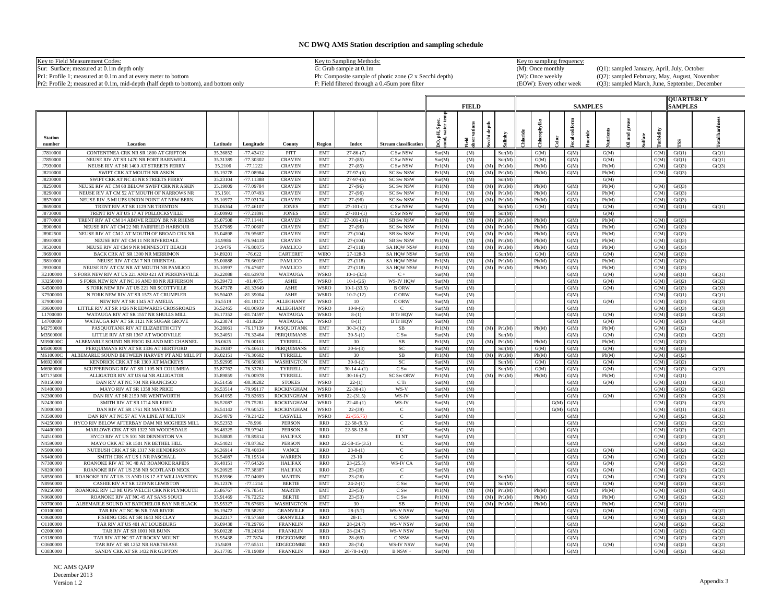|                          | Key to Field Measurement Codes:<br>Sur: Surface; measured at 0.1m depth only<br>Pr1: Profile 1; measured at 0.1m and at every meter to bottom<br>Pr2: Profile 2; measured at 0.1m, mid-depth (half depth to bottom), and bottom only |                      |                            | <b>Key to Sampling Methods:</b><br>G: Grab sample at 0.1m | Ph: Composite sample of photic zone (2 x Secchi depth)<br>F: Field filtered through a 0.45um pore filter |                            |                                      |                  |                     |            | Key to sampling frequency:<br>(M): Once monthly<br>(W): Once weekly<br>(EOW): Every other week |         |                |      |              |                |                |                  | (Q1): sampled January, April, July, October<br>(Q2): sampled February, May, August, November<br>(Q3): sampled March, June, September, December |              |                                    |                              |
|--------------------------|--------------------------------------------------------------------------------------------------------------------------------------------------------------------------------------------------------------------------------------|----------------------|----------------------------|-----------------------------------------------------------|----------------------------------------------------------------------------------------------------------|----------------------------|--------------------------------------|------------------|---------------------|------------|------------------------------------------------------------------------------------------------|---------|----------------|------|--------------|----------------|----------------|------------------|------------------------------------------------------------------------------------------------------------------------------------------------|--------------|------------------------------------|------------------------------|
|                          |                                                                                                                                                                                                                                      |                      |                            |                                                           |                                                                                                          |                            |                                      |                  | <b>FIELD</b>        |            |                                                                                                |         |                |      |              | <b>SAMPLES</b> |                |                  |                                                                                                                                                |              | <b>QUARTERLY</b><br><b>SAMPLES</b> |                              |
| <b>Station</b><br>number | Location                                                                                                                                                                                                                             | Latitude             | Longitude                  | County                                                    | Region                                                                                                   | <b>Index</b>               | Stream classification                | Š®<br>필<br>ੱਥੋਂ  | ield<br>bservations | echi depth | dinity                                                                                         | hloride | hlorophyll a   | Å    | eal coliform | luoride        | utrients       | $\mathbf{h}$ and | ulfate                                                                                                                                         | urbidity     | S.                                 | ă<br>$\overline{\mathbf{g}}$ |
| J7810000                 | CONTENTNEA CRK NR SR 1800 AT GRIFTON                                                                                                                                                                                                 | 35.36852             | $-77.43412$                | PITT                                                      | EMT                                                                                                      | $27 - 86 - (7)$            | C Sw NSW                             | Sur(M)           | (M)                 |            | Sur(M)                                                                                         |         | G(M)           |      | G(M)         |                | G(M)           |                  |                                                                                                                                                | G(M)         | G(O1)                              | G(O1)                        |
| J7850000                 | NEUSE RIV AT SR 1470 NR FORT BARNWELL                                                                                                                                                                                                | 35.31389             | -77.30302                  | <b>CRAVEN</b>                                             | EMT                                                                                                      | $27-(85)$                  | C Sw NSW                             | Sur(M)           | (M)                 |            | Sur(M)                                                                                         |         | G(M)           |      | G(M)         |                | G(M)           |                  |                                                                                                                                                | G(M)         | G(O1)                              | G(O1)                        |
| J7930000                 | NEUSE RIV AT SR 1400 AT STREETS FERRY                                                                                                                                                                                                | 35.2106              | $-77.1222$                 | <b>CRAVEN</b>                                             | EMT                                                                                                      | $27-(85)$                  | C Sw NSW                             | Pr1(M)           | (M)                 |            | Pr1(M                                                                                          |         | Ph(M)          |      | G(M)         |                | Ph(M)          |                  |                                                                                                                                                | G(M)         | G(O3)                              | G(O3)                        |
| J8210000<br>J8230000     | SWIFT CRK AT MOUTH NR ASKIN<br>SWIFT CRK AT NC 43 NR STREETS FERRY                                                                                                                                                                   | 35.19278<br>35.23104 | $-77.08984$<br>$-77.11388$ | <b>CRAVEN</b><br><b>CRAVEN</b>                            | <b>EMT</b><br><b>EMT</b>                                                                                 | $27-97-(6)$<br>$27-97-(6)$ | <b>SC Sw NSW</b><br><b>SC Sw NSW</b> | Pr1(M)<br>Sur(M) | (M)<br>(M)          |            | Pr1(M)<br>Sur(M)                                                                               |         | Ph(M)          |      | G(M)         |                | Ph(M)<br>G(M)  |                  |                                                                                                                                                | G(M)         | G(Q3)                              |                              |
| J8250000                 | NEUSE RIV AT CM 68 BELOW SWIFT CRK NR ASKIN                                                                                                                                                                                          | 35.19009             | $-77.09784$                | <b>CRAVEN</b>                                             | <b>EMT</b>                                                                                               | $27-(96)$                  | <b>SC Sw NSW</b>                     | Pr1(M)           | (M)                 |            | Pr1(M)                                                                                         |         | Ph(M)          |      | G(M)         |                | Ph(M)          |                  |                                                                                                                                                | G(M)         | G(Q3)                              |                              |
| J8290000                 | NEUSE RIV AT CM 52 AT MOUTH OF NARROWS NR                                                                                                                                                                                            | 35.1501              | $-77.07493$                | <b>CRAVEN</b>                                             | EMT                                                                                                      | $27-(96)$                  | <b>SC Sw NSW</b>                     | Pr1(M)           | (M)                 |            | Pr1(M)                                                                                         |         | Ph(M)          |      | G(M)         |                | Ph(M)          |                  |                                                                                                                                                | G(M)         | G(03)                              |                              |
| J8570000                 | NEUSE RIV .5 MI UPS UNION POINT AT NEW BERN                                                                                                                                                                                          | 35.10972             | $-77.03174$                | <b>CRAVEN</b>                                             | EMT                                                                                                      | $27-(96)$                  | <b>SC Sw NSW</b>                     | Pr1(M)           | (M)                 |            | Pr1(M                                                                                          |         | Ph(M)          |      | G(M)         |                | Ph(M)          |                  |                                                                                                                                                | G(M)         | G(Q3)                              |                              |
| J8690000                 | TRENT RIV AT SR 1129 NR TRENTON                                                                                                                                                                                                      | 35.06364             | $-77.46107$                | <b>JONES</b>                                              | EMT                                                                                                      | $27-101-(1)$               | C Sw NSW                             | Sur(M)           | (M)                 |            | Sur(M)                                                                                         |         | G(M)           |      | G(M)         |                | G(M)           |                  |                                                                                                                                                | G(M)         | G(Q1)                              | G(O1)                        |
| J8730000<br>18770000     | TRENT RIV AT US 17 AT POLLOCKSVILLE                                                                                                                                                                                                  | 35,00993<br>35,07508 | $-77.21891$                | <b>JONES</b>                                              | EMT                                                                                                      | $27-101-(1)$               | C Sw NSW                             | Sur(M)           | (M)                 |            | Sur(M)                                                                                         |         |                |      |              |                | G(M)           |                  |                                                                                                                                                |              |                                    |                              |
| 18900800                 | TRENT RIV AT CM 14 ABOVE REEDY BR NR RHEMS<br>NEUSE RIV AT CM 22 NR FAIRFIELD HARBOUR                                                                                                                                                | 35.07989             | $-77.11441$<br>$-77.00607$ | <b>CRAVEN</b><br><b>CRAVEN</b>                            | EMT<br>EMT                                                                                               | $27-101-(31)$<br>$27-(96)$ | <b>SB Sw NSW</b><br><b>SC Sw NSW</b> | Pr1(M)<br>Pr1(M) | (M)<br>(M)          |            | Pr1(M<br>Pr1(M                                                                                 |         | Ph(M)<br>Ph(M) |      | G(M)<br>G(M) |                | Ph(M)<br>Ph(M) |                  |                                                                                                                                                | G(M)<br>G(M) | G(Q3)<br>G(Q3)                     |                              |
| J8902500                 | NEUSE RIV AT CM 2 AT MOUTH OF BROAD CRK NR                                                                                                                                                                                           | 35.04898             | 76.95687                   | <b>CRAVEN</b>                                             | EMT                                                                                                      | $27-(104)$                 | SB Sw NSW                            | Pr1(M)           | (M)                 | M          | Pr1(M)                                                                                         |         | Ph(M)          |      | G(M)         |                | Ph(M)          |                  |                                                                                                                                                | G(M)         | G(O3)                              |                              |
| J8910000                 | NEUSE RIV AT CM 11 NR RIVERDALE                                                                                                                                                                                                      | 34.9986              | $-76.9441$                 | CRAVEN                                                    | EMT                                                                                                      | $27-(104)$                 | SB Sw NSW                            | Pr1(M)           | (M)                 |            | Pr1(M                                                                                          |         | Ph(M)          |      | G(M)         |                | Ph(M)          |                  |                                                                                                                                                | G(M)         | G(Q3)                              |                              |
| 19530000                 | NEUSE RIV AT CM 9 NR MINNESOTT BEACH                                                                                                                                                                                                 | 34.9476              | $-76.8087$ <sup>4</sup>    | PAMLICO                                                   | EMT                                                                                                      | $27-(118)$                 | <b>SAHQWNSW</b>                      | Pr1(M)           | (M)                 |            | Pr1(M)                                                                                         |         | Ph(M)          |      | G(M)         |                | Ph(M)          |                  |                                                                                                                                                | G(M)         | G(Q3)                              |                              |
| 19690000                 | BACK CRK AT SR 1300 NR MERRIMON                                                                                                                                                                                                      | 34.89201             | $-76.622$                  | CARTERET                                                  | <b>WIRO</b>                                                                                              | 27-128-3                   | <b>SAHQWNSW</b>                      | Sur(M)           | (M)                 |            | Sur(M)                                                                                         |         | G(M)           |      | G(M)         |                | G(M)           |                  |                                                                                                                                                | G(M)         | G(Q3)                              |                              |
| J9810000<br>J9930000     | NEUSE RIV AT CM 7 NR ORIENTAL<br>NEUSE RIV AT CM NR AT MOUTH NR PAMLICO                                                                                                                                                              | 35.00888<br>35.10997 | 76.66037<br>$-76.47607$    | <b>PAMLICO</b><br>PAMLICO                                 | EMT<br>EMT                                                                                               | $27-(118)$<br>$27-(118)$   | <b>SA HQW NSW</b><br><b>SAHQWNSW</b> | Pr1(M)<br>Pr1(M) | (M)<br>(M)          |            | Pr1(M)<br>Pr1(M)                                                                               |         | Ph(M)<br>Ph(M) |      | G(M)<br>G(M) |                | Ph(M)<br>Ph(M) |                  |                                                                                                                                                | G(M)<br>G(M) | G(Q3)<br>G(Q3)                     |                              |
| K2100000                 | S FORK NEW RIV AT US 221 AND 421 AT PERKINSVILLE                                                                                                                                                                                     | 36.22088             | $-81.6397$                 | WATAUGA                                                   | <b>WSRO</b>                                                                                              | $10-1-(3.5)$               | $C +$                                | Sur(M)           | (M)                 |            |                                                                                                |         |                |      | G(M          |                | G(M)           |                  |                                                                                                                                                | G(M          | G(Q1)                              | G(Q1)                        |
| K3250000                 | S FORK NEW RIV AT NC 16 AND 88 NR JEFFERSON                                                                                                                                                                                          | 36.39473             | $-81.4075$                 | <b>ASHE</b>                                               | <b>WSRO</b>                                                                                              | $10-1-(26)$                | WS-IV HQW                            | Sur(M)           | (M)                 |            |                                                                                                |         |                |      | G(M          |                | G(M)           |                  |                                                                                                                                                | G(M          | G(Q2)                              | G(Q2)                        |
| K4500000                 | S FORK NEW RIV AT US 221 NR SCOTTVILLE                                                                                                                                                                                               | 36.47378             | $-81.33649$                | ASHE                                                      | <b>WSRO</b>                                                                                              | $10-1-(33.5)$              | <b>BORW</b>                          | Sur(M)           | (M)                 |            |                                                                                                |         |                |      | G(M)         |                | G(M)           |                  |                                                                                                                                                | G(M)         | G(O3)                              | G(O3)                        |
| K7500000                 | N FORK NEW RIV AT SR 1573 AT CRUMPLER                                                                                                                                                                                                | 36.50403             | $-81.39004$                | <b>ASHE</b>                                               | <b>WSRO</b>                                                                                              | $10-2-(12)$                | C ORW                                | Sur(M)           | (M)                 |            |                                                                                                |         |                |      | G(M)         |                |                |                  |                                                                                                                                                | G(M)         | G(Q1)                              | G(O1)                        |
| K7900000<br>K9600000     | NEW RIV AT SR 1345 AT AMELIA<br>LITTLE RIV AT SR 1426 NR EDWARDS CROSSROADS                                                                                                                                                          | 36.5519<br>36.52465  | $-81.18172$<br>$-81.06939$ | <b>ALLEGHANY</b><br><b>ALLEGHANY</b>                      | <b>WSRO</b><br><b>WSRO</b>                                                                               | 10<br>$10-9-(6)$           | C ORW<br>$\mathcal{C}$               | Sur(M)<br>Sur(M) | (M)<br>(M)          |            |                                                                                                |         |                |      | G(M)<br>G(M) |                | G(M)           |                  |                                                                                                                                                | G(M)<br>G(M) | G(03)<br>G(03)                     | G(Q3)<br>G(Q3)               |
| L1700000                 | WATAUGA RIV AT SR 1557 NR SHULLS MILL                                                                                                                                                                                                | 36.17352             | $-81.74597$                | <b>WATAUGA</b>                                            | <b>WSRO</b>                                                                                              | $8-(1)$                    | <b>B</b> Tr HOW                      | Sur(M)           | (M)                 |            |                                                                                                |         |                |      | G(M)         |                | G(M)           |                  |                                                                                                                                                | G(M)         | G(Q2)                              | G(Q2)                        |
| L4700000                 | WATAUGA RIV AT SR 1121 NR SUGAR GROVE                                                                                                                                                                                                | 36.23874             | $-81.8229$                 | <b>WATAUGA</b>                                            | <b>WSRO</b>                                                                                              | $8-(1)$                    | <b>B</b> Tr HQW                      | Sur(M)           | (M)                 |            |                                                                                                |         |                |      | G(M)         |                | G(M)           |                  |                                                                                                                                                | G(M)         | G(Q3)                              | G(Q3)                        |
| M2750000                 | PASQUOTANK RIV AT ELIZABETH CITY                                                                                                                                                                                                     | 36,28061             | $-76.17139$                | PASQUOTANK                                                | EMT                                                                                                      | $30-3-(12)$                | SB                                   | Pr1(M)           | (M)                 | M          | Pr1(M)                                                                                         |         | Ph(M)          |      | G(M)         |                | Ph(M)          |                  |                                                                                                                                                | G(M)         | G(Q2)                              |                              |
| M3500000                 | LITTLE RIV AT SR 1367 AT WOODVILLE                                                                                                                                                                                                   | 36.24051             | $-76.32464$                | <b>PERQUIMANS</b>                                         | EMT                                                                                                      | $30-5-(1)$                 | C <sub>Sw</sub>                      | Sur(M)           | (M)                 |            | Sur(M)                                                                                         |         |                |      | G(M)         |                | G(M)           |                  |                                                                                                                                                | G(M)         | G(Q2)                              | G(Q2)                        |
| M390000C                 | ALBEMARLE SOUND NR FROG ISLAND MID CHANNEL                                                                                                                                                                                           | 36.0625              | $-76.00163$                | TYRRELL                                                   | EMT                                                                                                      | 30                         | $\rm SB$                             | Pr1(M)           | (M)                 |            | Pr1(M)                                                                                         |         | Ph(M)          |      | G(M)         |                | Ph(M)          |                  |                                                                                                                                                | G(M)         | G(Q3)                              |                              |
| M5000000<br>M610000C     | PERQUIMANS RIV AT SR 1336 AT HERTFORD<br>ALBEMARLE SOUND BETWEEN HARVEY PT AND MILL PT                                                                                                                                               | 36.19387<br>36.02151 | $-76.46611$<br>$-76.30602$ | PERQUIMANS<br>TYRRELL                                     | EMT<br>EMT                                                                                               | $30-6-(3)$<br>30           | SC<br>$\rm SB$                       | Sur(M)<br>Pr1(M) | (M)<br>(M)          |            | Sur(M)<br>Pr1(M)                                                                               |         | G(M)<br>Ph(M)  |      | G(M)<br>G(M) |                | G(M)<br>Ph(M)  |                  |                                                                                                                                                | G(M)<br>G(M) | G(Q3)<br>G(Q2)                     |                              |
| M6920000                 | KENDRICK CRK AT SR 1300 AT MACKEYS                                                                                                                                                                                                   | 35.92995             | $-76.60983$                | WASHINGTON                                                | <b>EMT</b>                                                                                               | $30-9-(2)$                 | SC                                   | Sur(M)           | (M)                 |            | Sur(M)                                                                                         |         | G(M)           |      | G(M)         |                | G(M)           |                  |                                                                                                                                                | G(M)         | G(Q2)                              |                              |
| M6980000                 | SCUPPERNONG RIV AT SR 1105 NR COLUMBIA                                                                                                                                                                                               | 35.87762             | $-76.33761$                | <b>TYRRELL</b>                                            | EMT                                                                                                      | $30-14-4-(1)$              | $\mathrm{C}\:\mathrm{Sw}$            | Sur(M)           | (M)                 |            | Sur(M)                                                                                         |         | G(M)           |      | G(M)         |                | G(M)           |                  |                                                                                                                                                | G(M)         | G(O3)                              | G(Q3)                        |
| M7175000                 | ALLIGATOR RIV AT US 64 NR ALLIGATOR                                                                                                                                                                                                  | 35.89859             | $-76.00978$                | <b>TYRRELL</b>                                            | EMT                                                                                                      | $30-16-(7)$                | <b>SC Sw ORW</b>                     | Pr1(M)           | (M)                 | (M)        | Pr1(M)                                                                                         |         | Ph(M)          |      | G(M)         |                | Ph(M)          |                  |                                                                                                                                                | G(M)         | G(O1)                              |                              |
| N0150000                 | DAN RIV AT NC 704 NR FRANCISCO                                                                                                                                                                                                       | 36.51459             | $-80.30282$                | <b>STOKES</b>                                             | <b>WSRO</b>                                                                                              | $22-(1)$                   | C Tr                                 | Sur(M)           | (M)                 |            |                                                                                                |         |                |      | G(M)         |                | G(M)           |                  |                                                                                                                                                | G(M)         | G(O1)                              | G(O1)                        |
| N1400000<br>N2300000     | MAYO RIV AT SR 1358 NR PRICE<br>DAN RIV AT SR 2150 NR WENTWORTH                                                                                                                                                                      | 36.53514<br>36.41055 | $-79.99117$<br>-79.82693   | <b>ROCKINGHAM</b><br><b>ROCKINGHAM</b>                    | <b>WSRO</b><br><b>WSRO</b>                                                                               | $22-30-(1)$<br>$22-(31.5)$ | WS-V<br>WS-IV                        | Sur(M)<br>Sur(M) | (M)<br>(M)          |            |                                                                                                |         |                |      | G(M)<br>G(M) |                | G(M)           |                  |                                                                                                                                                | G(M)<br>G(M) | G(Q2)<br>G(Q3)                     | G(O2)<br>G(O3)               |
| N2430000                 | SMITH RIV AT SR 1714 NR EDEN                                                                                                                                                                                                         | 36.52087             | $-79.75281$                | <b>ROCKINGHAM</b>                                         | <b>WSRO</b>                                                                                              | $22-40-(1)$                | WS-IV                                | Sur(M)           | (M)                 |            |                                                                                                |         |                | G(M) | G(M)         |                |                |                  |                                                                                                                                                | G(M)         | G(Q3)                              | G(O3)                        |
| N3000000                 | DAN RIV AT SR 1761 NR MAYFIELD                                                                                                                                                                                                       | 36.54142             | $-79.60525$                | <b>ROCKINGHAM</b>                                         | <b>WSRO</b>                                                                                              | $22-(39)$                  | $\mathcal{C}$                        | Sur(M)           | (M)                 |            |                                                                                                |         |                | G(M) | G(M)         |                |                |                  |                                                                                                                                                | G(M)         | G(O1)                              | G(O1)                        |
| N350000                  | DAN RIV AT NC 57 AT VA LINE AT MILTON                                                                                                                                                                                                | 36.54079             | -79.21422                  | CASWELL                                                   | <b>WSRC</b>                                                                                              | 22.155.7                   | $\mathcal{C}$                        | Sur(M)           | (M)                 |            |                                                                                                |         |                |      | G(M)         |                |                |                  |                                                                                                                                                | G(M)         | G(Q2)                              | G(O2)                        |
| N4250000                 | HYCO RIV BELOW AFTERBAY DAM NR MCGHEES MILL                                                                                                                                                                                          | 36.52353             | -78.996                    | <b>PERSON</b>                                             | <b>RRO</b>                                                                                               | $22 - 58 - (9.5)$          | $\mathcal{C}$                        | Sur(M)           | (M)                 |            |                                                                                                |         |                |      | G(M)         |                |                |                  |                                                                                                                                                | G(M)         | G(Q2)                              | G(O2)                        |
| N440000<br>N4510000      | MARLOWE CRK AT SR 1322 NR WOODSDALE<br>HYCO RIV AT US 501 NR DENNISTON VA                                                                                                                                                            | 36.48325<br>36.58805 | 78.9794<br>78.89814        | <b>PERSON</b><br><b>HALIFAX</b>                           | <b>RRO</b><br><b>RRO</b>                                                                                 | $22 - 58 - 12 - 6$         | $\mathcal{C}$<br><b>III</b> NT       | Sur(M)<br>Sur(M) | (M)<br>(M)          |            |                                                                                                |         |                |      | G(M)<br>G(M) |                |                |                  |                                                                                                                                                | G(M)<br>G(M) | G(O2)<br>G(Q2)                     | G(Q2)<br>G(Q2)               |
| N4590000                 | MAYO CRK AT SR 1501 NR BETHEL HILL                                                                                                                                                                                                   | 36.54021             | 78.87362                   | <b>PERSON</b>                                             | <b>RRO</b>                                                                                               | $22 - 58 - 15 - (3.5)$     | $\overline{c}$                       | Sur(M)           | (M)                 |            |                                                                                                |         |                |      | G(M)         |                |                |                  |                                                                                                                                                | G(M)         | G(Q2)                              | G(Q2)                        |
| N5000000                 | NUTBUSH CRK AT SR 1317 NR HENDERSON                                                                                                                                                                                                  | 36.36914             | 78.40834                   | VANCE                                                     | <b>RRO</b>                                                                                               | $23-8-(1)$                 | $\overline{c}$                       | Sur(M)           | (M)                 |            |                                                                                                |         |                |      | G(M)         |                | G(M)           |                  |                                                                                                                                                | G(M)         | G(Q2)                              | G(Q2)                        |
| N6400000                 | SMITH CRK AT US 1 NR PASCHALI                                                                                                                                                                                                        | 36.54087             | $-78.19514$                | <b>WARREN</b>                                             | <b>RRO</b>                                                                                               | $23-10$                    | $\mathcal{C}_{\mathcal{C}}$          | Sur(M)           | (M)                 |            |                                                                                                |         |                |      | G(M)         |                | G(M)           |                  |                                                                                                                                                | G(M)         | G(Q2)                              | G(Q2)                        |
| N7300000                 | ROANOKE RIV AT NC 48 AT ROANOKE RAPIDS                                                                                                                                                                                               | 36.48151             | $-77.64526$                | <b>HALIFAX</b>                                            | <b>RRO</b>                                                                                               | $23-(25.5)$                | <b>WS-IV CA</b>                      | Sur(M)           | (M)                 |            |                                                                                                |         |                |      | G(M)         |                | G(M)           |                  |                                                                                                                                                | G(M)         | G(Q2)                              | G(Q2)                        |
| N8200000<br>N8550000     | ROANOKE RIV AT US 258 NR SCOTLAND NECK<br>ROANOKE RIV AT US 13 AND US 17 AT WILLIAMSTON                                                                                                                                              | 36.20925<br>35.85986 | $-77.38387$<br>$-77.04009$ | <b>HALIFAX</b><br><b>MARTIN</b>                           | <b>RRO</b><br>EMT                                                                                        | $23-(26)$<br>$23-(26)$     | $\overline{c}$<br>$\overline{c}$     | Sur(M)<br>Sur(M) | (M)<br>(M)          |            | Sur(M)                                                                                         |         |                |      | G(M)<br>G(M) |                | G(M)<br>G(M)   |                  |                                                                                                                                                | G(M)<br>G(M) | G(Q2)<br>G(Q3)                     | G(Q2)<br>G(Q3)               |
| N8950000                 | CASHIE RIV AT SR 1219 NR LEWISTON                                                                                                                                                                                                    | 36.12376             | $-77.1214$                 | <b>BERTIE</b>                                             | EMT                                                                                                      | $24 - 2-(1)$               | $C$ Sw                               | Sur(M)           | (M)                 |            | Sur(M)                                                                                         |         |                |      | G(M)         |                | G(M)           |                  |                                                                                                                                                | G(M)         | G(Q2)                              | G(Q2)                        |
| N9250000                 | ROANOKE RIV 1.3 MI UPS WELCH CRK NR PLYMOUTH                                                                                                                                                                                         | 35.86767             | $-76.78541$                | <b>MARTIN</b>                                             | EMT                                                                                                      | $23-(53)$                  | CSw                                  | Pr1(M)           | (M)                 |            | Pr1(M)                                                                                         |         | Ph(M)          |      | G(M)         |                | Ph(M)          |                  |                                                                                                                                                | G(M)         | G(Q1)                              | G(Q1)                        |
| N9600000                 | ROANOKE RIV AT NC 45 AT SANS SOUCI                                                                                                                                                                                                   | 35.91469             | $-76.72252$                | <b>BERTIE</b>                                             | EMT                                                                                                      | $23-(53)$                  | $C$ Sw                               | Pr1(M)           | (M)                 | (M)        | Pr1(M)                                                                                         |         | Ph(M)          |      | G(M)         |                | Ph(M)          |                  |                                                                                                                                                | G(M)         | G(Q2)                              | G(Q2)                        |
| N9700000                 | ALBEMARLE SOUND AT BATCHELOR BAY NR BLACK                                                                                                                                                                                            | 35.95327             | $-76.67603$                | WASHINGTON                                                | EMT                                                                                                      | 30                         | $_{\rm SB}$                          | Pr1(M)           | (M)                 | (M)        | Pr1(M)                                                                                         |         | Ph(M)          |      | G(M)         |                | Ph(M)          |                  |                                                                                                                                                | G(M)         | G(Q1)                              |                              |
| O0100000                 | TAR RIV AT NC 96 NR TAR RIVER                                                                                                                                                                                                        | 36.19472             | $-78.58292$                | <b>GRANVILLE</b>                                          | <b>RRO</b>                                                                                               | $28-(5.7)$                 | WS-V NSW                             | Sur(M)           | (M)                 |            |                                                                                                |         |                |      | G(M)         |                | G(M)           |                  |                                                                                                                                                | G(M)         | G(Q2)                              | G(Q2)                        |
| O0600000<br>O1100000     | FISHING CRK AT SR 1643 NR CLAY<br>TAR RIV AT US 401 AT LOUISBURG                                                                                                                                                                     | 36.22317<br>36.09438 | $-78.57568$<br>78.29766    | <b>GRANVILLE</b><br><b>FRANKLIN</b>                       | <b>RRO</b><br><b>RRO</b>                                                                                 | $28 - 11$<br>$28-(24.7)$   | C NSW<br>WS-V NSW                    | Sur(M)<br>Sur(M) | (M)<br>(M)          |            |                                                                                                |         |                |      | G(M)<br>G(M) |                | G(M)           |                  |                                                                                                                                                | G(M)<br>G(M) | G(Q2)<br>G(Q2)                     | G(Q2)<br>G(Q2)               |
| O2000000                 | TAR RIV AT SR 1001 NR BUNN                                                                                                                                                                                                           | 36.00228             | $-78.24334$                | <b>FRANKLIN</b>                                           | <b>RRO</b>                                                                                               | $28-(24.7)$                | WS-V NSW                             | Sur(M)           | (M)                 |            |                                                                                                |         |                |      | G(M)         |                |                |                  |                                                                                                                                                | G(M)         | G(Q2)                              | G(Q2)                        |
| O3180000                 | TAR RIV AT NC 97 AT ROCKY MOUNT                                                                                                                                                                                                      | 35.95438             | $-77.7874$                 | EDGECOMBE                                                 | <b>RRO</b>                                                                                               | $28-(69)$                  | C <sub>NSW</sub>                     | Sur(M)           | (M)                 |            |                                                                                                |         |                |      | G(M)         |                |                |                  |                                                                                                                                                | G(M)         | G(O2)                              | G(Q2)                        |
| O3600000                 | TAR RIV AT SR 1252 NR HARTSEASE                                                                                                                                                                                                      | 35.9409              | $-77.65511$                | <b>EDGECOMBE</b>                                          | <b>RRO</b>                                                                                               | $28-(74)$                  | WS-IV NSW                            | Sur(M)           | (M)                 |            |                                                                                                |         |                |      | G(M)         |                | G(M)           |                  |                                                                                                                                                | G(M)         | G(Q2)                              | G(Q2)                        |
| O3830000                 | SANDY CRK AT SR 1432 NR GUPTON                                                                                                                                                                                                       | 36.17785             | -78.19089                  | <b>FRANKLIN</b>                                           | <b>RRO</b>                                                                                               | $28 - 78 - 1 - (8)$        | B NSW +                              | Sur(M)           | (M)                 |            |                                                                                                |         |                |      | G(M)         |                |                |                  |                                                                                                                                                | G(M)         | G(Q2)                              | G(O2)                        |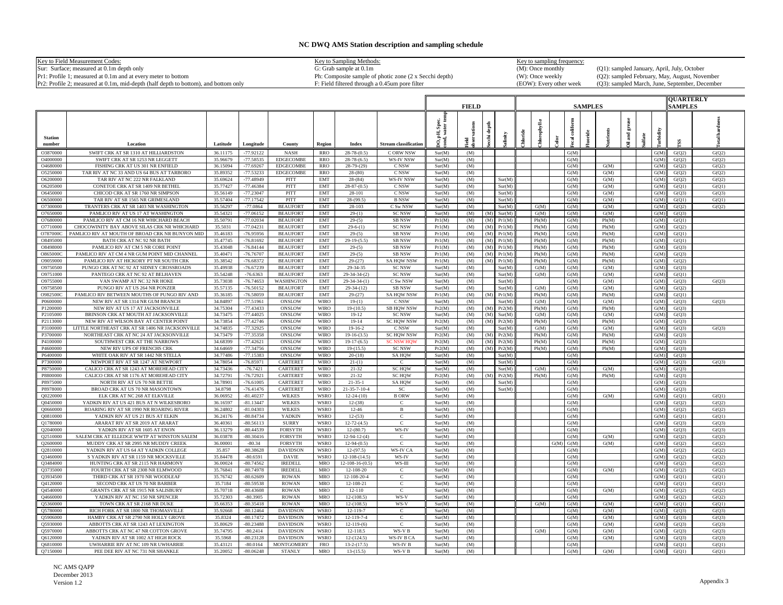|                          | Key to Field Measurement Codes:<br>Sur: Surface; measured at 0.1m depth only<br>Pr1: Profile 1; measured at 0.1m and at every meter to bottom<br>Pr2: Profile 2; measured at 0.1m, mid-depth (half depth to bottom), and bottom only |                      | <b>Key to Sampling Methods:</b><br>G: Grab sample at 0.1m<br>Ph: Composite sample of photic zone (2 x Secchi depth)<br>F: Field filtered through a 0.45um pore filter |                                      |                            |                                            |                                    | Key to sampling frequency:<br>(M): Once monthly<br>(W): Once weekly<br>(EOW): Every other week |                     |            |                  |         |                     | (Q1): sampled January, April, July, October<br>(Q2): sampled February, May, August, November<br>(Q3): sampled March, June, September, December |              |                |                |                   |            |              |                                    |                |  |
|--------------------------|--------------------------------------------------------------------------------------------------------------------------------------------------------------------------------------------------------------------------------------|----------------------|-----------------------------------------------------------------------------------------------------------------------------------------------------------------------|--------------------------------------|----------------------------|--------------------------------------------|------------------------------------|------------------------------------------------------------------------------------------------|---------------------|------------|------------------|---------|---------------------|------------------------------------------------------------------------------------------------------------------------------------------------|--------------|----------------|----------------|-------------------|------------|--------------|------------------------------------|----------------|--|
|                          |                                                                                                                                                                                                                                      |                      |                                                                                                                                                                       |                                      |                            |                                            |                                    |                                                                                                | <b>FIELD</b>        |            |                  |         |                     |                                                                                                                                                |              | <b>SAMPLES</b> |                |                   |            |              | <b>OUARTERLY</b><br><b>SAMPLES</b> |                |  |
| <b>Station</b><br>number | Location                                                                                                                                                                                                                             | Latitude             | Longitude                                                                                                                                                             | County                               | Region                     | Index                                      | Stream classificatio               | Spec.<br>pH, s<br>ਂ ਵ                                                                          | ield<br>bservations | echi depth | dinity           | hloride | hlorophyll <i>a</i> | olor                                                                                                                                           | cal coliform | uoride         | utrients       | grease<br>$u$ and | $n$ affate | urbidity     | S.                                 | otal hard      |  |
| O3870000                 | SWIFT CRK AT SR 1310 AT HILLIARDSTON                                                                                                                                                                                                 | 36.11175             | $-77.92122$                                                                                                                                                           | <b>NASH</b>                          | <b>RRO</b>                 | $28 - 78 - (0.5)$                          | C ORW NSW                          | Sur(M)                                                                                         | (M)                 |            |                  |         |                     |                                                                                                                                                | G(M)         |                |                |                   |            | G(M)         | G(Q2)                              | G(Q2)          |  |
| O4000000                 | SWIFT CRK AT SR 1253 NR LEGGETT                                                                                                                                                                                                      | 35,96679             | $-77.58535$                                                                                                                                                           | <b>EDGECOMBE</b>                     | <b>RRO</b>                 | $28 - 78 - (6.5)$                          | WS-IV NSW                          | Sur(M)                                                                                         | (M)                 |            |                  |         |                     |                                                                                                                                                | G(M)         |                |                |                   |            | G(M          | G(Q2)                              | G(Q2)          |  |
| Q4680000<br>O525000      | FISHING CRK AT US 301 NR ENFIELD<br>TAR RIV AT NC 33 AND US 64 BUS AT TARBORO                                                                                                                                                        | 36.15094<br>35.89352 | $-77.6926$<br>$-77.53233$                                                                                                                                             | <b>EDGECOMBE</b><br><b>EDGECOMBE</b> | <b>RRO</b><br><b>RRO</b>   | $28-79-(29)$<br>$28-(80)$                  | $C$ NSW<br>C <sub>NSW</sub>        | Sur(M)<br>Sur(M)                                                                               | (M)<br>(M)          |            |                  |         |                     |                                                                                                                                                | G(M)<br>G(M) |                | G(M)<br>G(M)   |                   |            | G(M<br>G(M)  | G(Q2)<br>G(Q2)                     | G(Q2)<br>G(Q2) |  |
| O620000                  | TAR RIV AT NC 222 NR FALKLAND                                                                                                                                                                                                        | 35.69624             | $-77.48949$                                                                                                                                                           | PITT                                 | EMT                        | $28-(84)$                                  | WS-IV NSW                          | Sur(M)                                                                                         | (M)                 |            | Sur(M)           |         |                     |                                                                                                                                                | G(M)         |                | G(M)           |                   |            | G(M)         | G(O2)                              | G(Q2)          |  |
| O6205000                 | CONETOE CRK AT SR 1409 NR BETHEL                                                                                                                                                                                                     | 35.77427             | $-77.46384$                                                                                                                                                           | PITT                                 | EMT                        | $28 - 87 - (0.5)$                          | C <sub>NSW</sub>                   | Sur(M)                                                                                         | (M)                 |            | Sur(M)           |         |                     |                                                                                                                                                | G(M)         |                | G(M)           |                   |            | G(M)         | G(Q1)                              | G(O1)          |  |
| O6450000                 | CHICOD CRK AT SR 1760 NR SIMPSON                                                                                                                                                                                                     | 35.56149             | $-77.23047$                                                                                                                                                           | PITT                                 | EMT                        | 28-101                                     | <b>CNSW</b>                        | Sur(M)                                                                                         | (M)                 |            | Sur(M)           |         |                     |                                                                                                                                                | G(M)         |                | G(M)           |                   |            | G(M)         | G(03)                              | G(Q3)          |  |
| O6500000                 | TAR RIV AT SR 1565 NR GRIMESLAND                                                                                                                                                                                                     | 35,57404             | $-77.17542$                                                                                                                                                           | PITT                                 | <b>EMT</b>                 | $28-(99.5)$                                | <b>B NSW</b>                       | Sur(M)                                                                                         | (M)                 |            | Sur(M)           |         |                     |                                                                                                                                                | G(M)         |                | G(M)           |                   |            | G(M)         | G(Q1)                              | G(O1)          |  |
| O7300000<br>O7650000     | TRANTERS CRK AT SR 1403 NR WASHINGTON<br>PAMLICO RIV AT US 17 AT WASHINGTON                                                                                                                                                          | 35.56297<br>35.54321 | $-77.0864$<br>$-77.06152$                                                                                                                                             | <b>BEAUFORT</b><br><b>BEAUFORT</b>   | <b>EMT</b><br>EMT          | 28-103<br>$29-(1)$                         | C Sw NSW<br><b>SC NSW</b>          | Sur(M)<br>Sur(M)                                                                               | (M)<br>(M)          |            | Sur(M)<br>Sur(M) |         | G(M)<br>G(M)        |                                                                                                                                                | G(M)<br>G(M) |                | G(M)<br>G(M)   |                   |            | G(M)<br>G(M) | G(Q2)<br>G(O3)                     | G(O2)          |  |
| O7680000                 | PAMLICO RIV AT CM 16 NR WHICHARD BEACH                                                                                                                                                                                               | 35.50791             | $-77.02034$                                                                                                                                                           | <b>BEAUFORT</b>                      | EMT                        | $29-(5)$                                   | <b>SB NSW</b>                      | Pr1(M)                                                                                         | (M)                 |            | Pr1(M)           |         | Ph(M)               |                                                                                                                                                | G(M)         |                | Ph(M)          |                   |            | G(M)         | G(O1)                              |                |  |
| O7710000                 | CHOCOWINITY BAY ABOVE SILAS CRK NR WHICHARD                                                                                                                                                                                          | 35.5031              | $-77.04231$                                                                                                                                                           | <b>BEAUFORT</b>                      | EMT                        | $29-6-(1)$                                 | <b>SC NSW</b>                      | Pr1(M)                                                                                         | (M)                 |            | Pr1(M            |         | Ph(M)               |                                                                                                                                                | G(M)         |                | Ph(M)          |                   |            | G(M)         | G(Q2)                              |                |  |
| 07870000                 | PAMLICO RIV AT MOUTH OF BROAD CRK NR BUNYON MID                                                                                                                                                                                      | 35.46183             | $-76.95956$                                                                                                                                                           | <b>BEAUFORT</b>                      | EMT                        | $29-(5)$                                   | <b>SB NSW</b>                      | Pr1(M)                                                                                         | (M)                 |            | Pr1(M)           |         | Ph(M)               |                                                                                                                                                | G(M)         |                | Ph(M)          |                   |            | G(M)         | G(O1)                              |                |  |
| O8495000<br>O8498000     | BATH CRK AT NC 92 NR BATH<br>PAMLICO RIV AT CM 5 NR CORE POINT                                                                                                                                                                       | 35.47745<br>35.43048 | $-76.81692$<br>$-76.84144$                                                                                                                                            | <b>BEAUFORT</b><br><b>BEAUFORT</b>   | EMT<br>EMT                 | $29-19-(5.5)$<br>$29-(5)$                  | SB <sub>NSW</sub><br><b>SB NSW</b> | Pr1(M)<br>Pr1(M)                                                                               | (M)<br>(M)          |            | Pr1(M<br>Pr1(M   |         | Ph(M)<br>Ph(M)      |                                                                                                                                                | G(M)<br>G(M) |                | Ph(M)<br>Ph(M) |                   |            | G(M)<br>G(M) | G(Q1)<br>G(Q3)                     |                |  |
| 08650000                 | PAMLICO RIV AT CM 4 NR GUM POINT MID CHANNEL                                                                                                                                                                                         | 35,40471             | $-76.7670$                                                                                                                                                            | <b>BEAUFORT</b>                      | EMT                        | $29-(5)$                                   | <b>SB NSW</b>                      | Pr1(M)                                                                                         | (M)                 |            | Pr1(M            |         | Ph(M)               |                                                                                                                                                | G(M)         |                | Ph(M)          |                   |            | G(M)         | G(Q3)                              |                |  |
| O9059000                 | PAMLICO RIV AT HICKORY PT NR SOUTH CRK                                                                                                                                                                                               | 35.38542             | 76.68372                                                                                                                                                              | <b>BEAUFORT</b>                      | EMT                        | $29-(27)$                                  | <b>SA HQW NSW</b>                  | Pr1(M)                                                                                         | (M)                 |            | Pr1(M            |         | Ph(M)               |                                                                                                                                                | G(M)         |                | Ph(M)          |                   |            | G(M)         | G(Q2)                              |                |  |
| O9750500                 | PUNGO CRK AT NC 92 AT SIDNEY CROSSROADS                                                                                                                                                                                              | 35.49938             | $-76.67239$                                                                                                                                                           | <b>BEAUFORT</b>                      | EMT                        | 29-34-35                                   | <b>SC NSW</b>                      | Sur(M)                                                                                         | (M)                 |            | Sur(M)           |         | G(M)                |                                                                                                                                                | G(M)         |                | G(M)           |                   |            | G(M)         | G(Q3)                              |                |  |
| O9751000                 | PANTEGO CRK AT NC 92 AT BELHAVEN                                                                                                                                                                                                     | 35.54248             | $-76.6363$                                                                                                                                                            | <b>BEAUFORT</b>                      | EMT                        | $29-34-34-(2)$                             | <b>SC NSW</b>                      | Sur(M)                                                                                         | (M)                 |            | Sur(M)           |         | G(M)                |                                                                                                                                                | G(M)         |                | G(M)           |                   |            | G(M)         | G(Q1)                              |                |  |
| O9755000<br>O9758500     | VAN SWAMP AT NC 32 NR HOKE<br>PUNGO RIV AT US 264 NR PONZER                                                                                                                                                                          | 35.73038<br>35.57135 | $-76.7465$<br>$-76.50152$                                                                                                                                             | WASHINGTON<br><b>BEAUFORT</b>        | EMT<br>EMT                 | $29-34-34-(1)$<br>$29-34-(12)$             | C Sw NSW<br><b>SB NSW</b>          | Sur(M)<br>Sur(M)                                                                               | (M)<br>(M)          |            | Sur(M)<br>Sur(M) |         | G(M)                |                                                                                                                                                | G(M)<br>G(M) |                | G(M)<br>G(M)   |                   |            | G(M)<br>G(M) | G(Q3)<br>G(Q2)                     | G(Q3)          |  |
| O982500C                 | PAMLICO RIV BETWEEN MOUTHS OF PUNGO RIV AND                                                                                                                                                                                          | 35.36185             | $-76.58059$                                                                                                                                                           | <b>BEAUFORT</b>                      | EMT                        | $29-(27)$                                  | <b>SA HOW NSW</b>                  | Pr1(M)                                                                                         | (M)                 |            | Pr1(M)           |         | Ph(M)               |                                                                                                                                                | G(M)         |                | Ph(M)          |                   |            | G(M)         | G(O1)                              |                |  |
| P0600000                 | NEW RIV AT SR 1314 NR GUM BRANCH                                                                                                                                                                                                     | 34.84897             | $-77.5196$                                                                                                                                                            | ONSLOW                               | <b>WIRO</b>                | $19-(1)$                                   | C <sub>NSW</sub>                   | Sur(M)                                                                                         | (M)                 |            | Sur(M)           |         | G(M)                |                                                                                                                                                | G(M)         |                | G(M)           |                   |            | G(M)         | G(Q3)                              | G(Q3)          |  |
| P1200000                 | NEW RIV AT US 17 AT JACKSONVILLE                                                                                                                                                                                                     | 34.75304             | $-77.43433$                                                                                                                                                           | ONSLOW                               | <b>WIRO</b>                | $19-(10.5)$                                | <b>SB HOW NSW</b>                  | Pr2(M)                                                                                         | (M)                 |            | Pr2(M)           |         | Ph(M)               |                                                                                                                                                | G(M)         |                | Ph(M)          |                   |            | G(M)         | G(Q3)                              |                |  |
| P2105000<br>P2113000     | BRINSON CRK AT MOUTH AT JACKSONVILLE<br>NEW RIV AT WILSON BAY AT CENTER POINT                                                                                                                                                        | 34.73475<br>34.73854 | $-77.44025$<br>$-77.42746$                                                                                                                                            | ONSLOW<br>ONSLOW                     | <b>WIRO</b><br><b>WIRO</b> | $19 - 12$<br>$19 - 14$                     | <b>SC NSW</b><br><b>SC HOW NSW</b> | Sur(M)<br>Pr2(M)                                                                               | (M)<br>(M)          |            | Sur(M)<br>Pr2(M) |         | G(M)<br>Ph(M)       |                                                                                                                                                | G(M)<br>G(M) |                | G(M)<br>Ph(M)  |                   |            | G(M)<br>G(M) | G(O3)<br>G(Q3)                     |                |  |
| P3100000                 | LITTLE NORTHEAST CRK AT SR 1406 NR JACKSONVILLE                                                                                                                                                                                      | 34.74835             | $-77.3292$                                                                                                                                                            | ONSLOW                               | <b>WIRO</b>                | $19 - 16 - 2$                              | C <sub>NSW</sub>                   | Sur(M)                                                                                         | (M)                 |            | Sur(M)           |         | G(M)                |                                                                                                                                                | G(M          |                | G(M)           |                   |            | G(M)         | G(Q3)                              | G(O3)          |  |
| P3700000                 | NORTHEAST CRK AT NC 24 AT JACKSONVILLE                                                                                                                                                                                               | 34.73479             | -77.3535                                                                                                                                                              | <b>ONSLOW</b>                        | WIRO                       | $19-16-(3.5)$                              | <b>SC HQW NSW</b>                  | Pr2(M)                                                                                         | (M)                 |            | Pr2(M            |         | Ph(M                |                                                                                                                                                | G(M)         |                | Ph(M)          |                   |            | G(M)         | G(Q3)                              |                |  |
| P4100000                 | SOUTHWEST CRK AT THE NARROWS                                                                                                                                                                                                         | 34.68399             | -77.42621                                                                                                                                                             | ONSLOW                               | <b>WIRO</b>                | $19-17-(6.5)$                              |                                    | Pr2(M)                                                                                         | (M)                 |            | Pr2(M)           |         | Ph(M)               |                                                                                                                                                | G(M)         |                | Ph(M)          |                   |            | G(M)         | G(Q3)                              |                |  |
| P4600000                 | NEW RIV UPS OF FRENCHS CRK                                                                                                                                                                                                           | 34.64669             | 77.34756                                                                                                                                                              | ONSLOW                               | <b>WIRO</b>                | $19-(15.5)$                                | <b>SC NSW</b>                      | Pr2(M)                                                                                         | (M)                 |            | Pr2(M)           |         | Ph(M)               |                                                                                                                                                | G(M)         |                | Ph(M)          |                   |            | G(M)         | G(O3)                              |                |  |
| P6400000<br>P7300000     | WHITE OAK RIV AT SR 1442 NR STELLA<br>NEWPORT RIV AT SR 1247 AT NEWPORT                                                                                                                                                              | 34.77486<br>34.78054 | 77.15383<br>-76.85971                                                                                                                                                 | ONSLOW<br><b>CARTERET</b>            | <b>WIRO</b><br><b>WIRO</b> | $20-(18)$<br>$21-(1)$                      | <b>SAHOW</b><br>$\mathbf C$        | Sur(M)<br>Sur(M)                                                                               | (M)<br>(M)          |            | Sur(M)<br>Sur(M) |         |                     |                                                                                                                                                | G(M)<br>G(M) |                |                |                   |            | G(M)<br>G(M) | G(O3)<br>G(03)                     | G(Q3)          |  |
| P8750000                 | CALICO CRK AT SR 1243 AT MOREHEAD CITY                                                                                                                                                                                               | 34,73436             | $-76.7421$                                                                                                                                                            | CARTERET                             | <b>WIRO</b>                | $21 - 32$                                  | <b>SC HOW</b>                      | Sur(M)                                                                                         | (M)                 |            | Sur(M)           |         | G(M)                |                                                                                                                                                | G(M)         |                | G(M)           |                   |            | G(M)         | G(Q3)                              |                |  |
| P8800000                 | CALICO CRK AT SR 1176 AT MOREHEAD CITY                                                                                                                                                                                               | 34,72791             | $-76.72921$                                                                                                                                                           | CARTERET                             | <b>WIRO</b>                | $21 - 32$                                  | <b>SC HOW</b>                      | Pr2(M)                                                                                         | (M)                 |            | Pr2(M)           |         | Ph(M)               |                                                                                                                                                | G(M)         |                | Ph(M)          |                   |            | G(M)         | G(Q3)                              |                |  |
| P8975000                 | NORTH RIV AT US 70 NR BETTIE                                                                                                                                                                                                         | 34,78901             | $-76.61005$                                                                                                                                                           | CARTERET                             | WIRO                       | $21 - 35 - 1$                              | <b>SAHQW</b>                       | Sur(M)                                                                                         | (M)                 |            | Sur(M)           |         |                     |                                                                                                                                                | G(M)         |                |                |                   |            | G(M)         | G(Q3)                              |                |  |
| P8978000<br>O0220000     | BROAD CRK AT US 70 NR MASONTOWN<br>ELK CRK AT NC 268 AT ELKVILLE                                                                                                                                                                     | 34,8798<br>36.06952  | $-76.41476$<br>$-81.40237$                                                                                                                                            | CARTERET<br>WILKES                   | WIRO<br><b>WSRO</b>        | $21 - 35 - 7 - 10 - 4$<br>$12-24-(10)$     | SC<br><b>BORW</b>                  | Sur(M)<br>Sur(M)                                                                               | (M)<br>(M)          |            | Sur(M)           |         |                     |                                                                                                                                                | G(M)<br>G(M) |                | G(M)           |                   |            | G(M)<br>G(M) | G(Q3)<br>G(O1)                     | G(Q1)          |  |
| Q0450000                 | YADKIN RIV AT US 421 BUS AT N WILKESBORO                                                                                                                                                                                             | 36.16597             | $-81.13447$                                                                                                                                                           | <b>WILKES</b>                        | <b>WSRO</b>                | $12-(38)$                                  | C                                  | Sur(M)                                                                                         | (M)                 |            |                  |         |                     |                                                                                                                                                | G(M)         |                |                |                   |            | G(M)         | G(Q2)                              | G(Q2)          |  |
| Q0660000                 | ROARING RIV AT SR 1990 NR ROARING RIVER                                                                                                                                                                                              | 36.24802             | $-81.0430$ <sup>2</sup>                                                                                                                                               | WILKES                               | <b>WSRO</b>                | $12 - 46$                                  | $\mathbf{B}$                       | Sur(M)                                                                                         | (M)                 |            |                  |         |                     |                                                                                                                                                | G(M)         |                |                |                   |            | G(M)         | G(Q2)                              | G(O2)          |  |
| O0810000                 | YADKIN RIV AT US 21 BUS AT ELKIN                                                                                                                                                                                                     | 36.24176             | $-80.84734$                                                                                                                                                           | YADKIN                               | <b>WSRO</b>                | $12-(53)$                                  | $\mathcal{C}$                      | Sur(M)                                                                                         | (M)                 |            |                  |         |                     |                                                                                                                                                | G(M)         |                |                |                   |            | G(M)         | G(Q1)                              | G(O1)          |  |
| Q1780000                 | ARARAT RIV AT SR 2019 AT ARARA'<br>YADKIN RIV AT SR 1605 AT ENON                                                                                                                                                                     | 36.40361<br>36.13279 | $-80.56113$<br>$-80.44539$                                                                                                                                            | <b>SURRY</b><br><b>FORSYTH</b>       | <b>WSRO</b><br><b>WSRO</b> | $12 - 72 - (4.5)$<br>$12-(80.7)$           | $\mathcal{C}$<br>WS-IV             | Sur(M)                                                                                         | (M)                 |            |                  |         |                     |                                                                                                                                                | G(M)         |                |                |                   |            | G(M<br>G(M   | G(Q3)                              | G(O3)<br>G(Q3) |  |
| Q2040000<br>Q2510000     | SALEM CRK AT ELLEDGE WWTP AT WINSTON SALEM                                                                                                                                                                                           | 36.03878             | $-80.30416$                                                                                                                                                           | <b>FORSYTH</b>                       | <b>WSRO</b>                | $12-94-12-(4)$                             | $\mathbf{C}$                       | Sur(M)<br>Sur(M)                                                                               | (M)<br>(M)          |            |                  |         |                     |                                                                                                                                                | G(M)<br>G(M) |                | G(M)           |                   |            | G(M          | G(Q3)<br>G(Q2)                     | G(Q2)          |  |
| Q2600000                 | MUDDY CRK AT SR 2995 NR MUDDY CREEK                                                                                                                                                                                                  | 36.00001             | $-80.34$                                                                                                                                                              | <b>FORSYTH</b>                       | <b>WSRO</b>                | $12-94-(0.5)$                              | $\sqrt{ }$                         | Sur(M)                                                                                         | (M)                 |            |                  |         |                     | G(M)                                                                                                                                           | G(M)         |                | G(M)           |                   |            | G(M          | G(Q2)                              | G(Q2)          |  |
| Q2810000                 | YADKIN RIV AT US 64 AT YADKIN COLLEGE                                                                                                                                                                                                | 35.857               | $-80.38628$                                                                                                                                                           | <b>DAVIDSON</b>                      | <b>WSRO</b>                | $12-(97.5)$                                | WS-IV CA                           | Sur(M)                                                                                         | (M)                 |            |                  |         |                     |                                                                                                                                                | G(M)         |                |                |                   |            | G(M)         | G(Q2)                              | G(Q2)          |  |
| Q3460000                 | S YADKIN RIV AT SR 1159 NR MOCKSVILLE                                                                                                                                                                                                | 35.84478             | $-80.6591$                                                                                                                                                            | <b>DAVIE</b>                         | <b>WSRO</b>                | $12-108-(14.5)$                            | WS-IV                              | Sur(M)                                                                                         | (M)                 |            |                  |         |                     |                                                                                                                                                | G(M)         |                |                |                   |            | G(M)         | G(O2)                              | G(Q2)          |  |
| Q3484000<br>Q3735000     | HUNTING CRK AT SR 2115 NR HARMONY<br>FOURTH CRK AT SR 2308 NR ELMWOOD                                                                                                                                                                | 36.00024<br>35.76841 | 80.74562<br>$-80.74978$                                                                                                                                               | <b>IREDELL</b><br><b>IREDELL</b>     | <b>MRO</b><br><b>MRO</b>   | $12 - 108 - 16 - (0.5)$<br>$12 - 108 - 20$ | WS-III<br>C                        | Sur(M)<br>Sur(M)                                                                               | (M)<br>(M)          |            |                  |         |                     |                                                                                                                                                | G(M)<br>G(M) |                | G(M)           |                   |            | G(M)<br>G(M) | G(Q2)<br>G(Q2)                     | G(Q2)<br>G(Q2) |  |
| O3934500                 | THIRD CRK AT SR 1970 NR WOODLEAF                                                                                                                                                                                                     | 35.76742             | $-80.62609$                                                                                                                                                           | <b>ROWAN</b>                         | <b>MRO</b>                 | 12-108-20-4                                | C                                  | Sur(M)                                                                                         | (M)                 |            |                  |         |                     |                                                                                                                                                | G(M)         |                |                |                   |            | G(M)         | G(O1)                              | G(O1)          |  |
| O4120000                 | SECOND CRK AT US 70 NR BARBER                                                                                                                                                                                                        | 35.7184              | 80.5953                                                                                                                                                               | <b>ROWAN</b>                         | <b>MRO</b>                 | $12 - 108 - 21$                            | $\mathcal{C}$                      | Sur(M)                                                                                         | (M)                 |            |                  |         |                     |                                                                                                                                                | G(M)         |                |                |                   |            | G(M)         | G(O1)                              | G(O1)          |  |
| Q4540000                 | GRANTS CRK AT SR 1915 NR SALISBURY                                                                                                                                                                                                   | 35.70718             | $-80.43608$                                                                                                                                                           | <b>ROWAN</b>                         | <b>MRO</b>                 | $12 - 110$                                 | $\mathcal{C}$                      | Sur(M)                                                                                         | (M)                 |            |                  |         |                     |                                                                                                                                                | G(M)         |                | G(M)           |                   |            | G(M)         | G(Q2)                              | G(O2)          |  |
| Q4660000<br>O536000      | YADKIN RIV AT NC 150 NR SPENCER<br>TOWN CRK AT SR 2168 NR DUKE                                                                                                                                                                       | 35.72303<br>35.66353 | $-80.3905$<br>80.3541                                                                                                                                                 | <b>ROWAN</b><br><b>ROWAN</b>         | <b>MRO</b><br><b>MRO</b>   | $12-(108.5)$<br>$12-(108.5)$               | WS-V<br>WS-V                       | Sur(M)<br>Sur(M)                                                                               | (M)<br>(M)          |            |                  |         | G(M)                |                                                                                                                                                | G(M)<br>G(M) |                | G(M)           |                   |            | G(M)<br>G(M) | G(Q2)<br>G(O1)                     | G(O2)<br>G(O1) |  |
| O5780000                 | RICH FORK AT SR 1800 NR THOMASVILLE                                                                                                                                                                                                  | 35.92668             | 80.12464                                                                                                                                                              | <b>DAVIDSON</b>                      | WSRC                       | $12 - 119 - 7$                             | $\mathcal{C}$                      | Sur(M)                                                                                         | (M)                 |            |                  |         |                     |                                                                                                                                                | G(M)         |                | G(M)           |                   |            | G(M)         | G(03)                              | G(O3)          |  |
| O5906000                 | HAMBY CRK AT SR 2790 NR HOLLY GROVE                                                                                                                                                                                                  | 35.8324              | 80.17472                                                                                                                                                              | <b>DAVIDSON</b>                      | <b>WSRO</b>                | $12 - 119 - 7 - 4$                         | $\mathcal{C}$                      | Sur(M)                                                                                         | (M)                 |            |                  |         |                     |                                                                                                                                                | G(M)         |                | G(M)           |                   |            | G(M)         | G(03)                              | G(O3)          |  |
| Q5930000                 | ABBOTTS CRK AT SR 1243 AT LEXINGTON                                                                                                                                                                                                  | 35.80629             | 80.23488                                                                                                                                                              | <b>DAVIDSON</b>                      | <b>WSRO</b>                | $12-119-(6)$                               | $\mathcal{C}$                      | Sur(M)                                                                                         | (M)                 |            |                  |         |                     |                                                                                                                                                | G(M)         |                | G(M)           |                   |            | G(M)         | G(Q3)                              | G(Q3)          |  |
| Q5970000                 | ABBOTTS CRK AT NC 47 NR COTTON GROVE                                                                                                                                                                                                 | 35.74795             | $-80.2414$                                                                                                                                                            | <b>DAVIDSON</b>                      | <b>WSRO</b>                | 12-118.5                                   | WS-V <sub>B</sub>                  | Sur(M)                                                                                         | (M)                 |            |                  |         | G(M)                |                                                                                                                                                | G(M)         |                | G(M)           |                   |            | G(M)         | G(Q3)                              | G(Q3)          |  |
| Q6120000<br>Q6810000     | YADKIN RIV AT SR 1002 AT HIGH ROCK<br>UWHARRIE RIV AT NC 109 NR UWHARRIE                                                                                                                                                             | 35,5968<br>35.43121  | 80.2312<br>$-80.0164$                                                                                                                                                 | <b>DAVIDSON</b><br><b>MONTGOMERY</b> | <b>WSRO</b><br>FRO         | $12-(124.5)$<br>$13-2-(17.5)$              | WS-IV B CA<br>WS-IV <sub>B</sub>   | Sur(M)<br>Sur(M)                                                                               | (M)<br>(M)          |            |                  |         |                     |                                                                                                                                                | G(M)<br>G(M) |                | G(M)           |                   |            | G(M)<br>G(M) | G(Q3)<br>G(Q1)                     | G(Q3)<br>G(Q1) |  |
| Q7150000                 | PEE DEE RIV AT NC 731 NR SHANKLE                                                                                                                                                                                                     | 35.20052             | $-80.06248$                                                                                                                                                           | <b>STANLY</b>                        | <b>MRO</b>                 | $13-(15.5)$                                | WS-V <sub>B</sub>                  | Sur(M)                                                                                         | (M)                 |            |                  |         |                     |                                                                                                                                                | G(M)         |                | G(M)           |                   |            | G(M)         | G(Q1)                              | G(Q1)          |  |